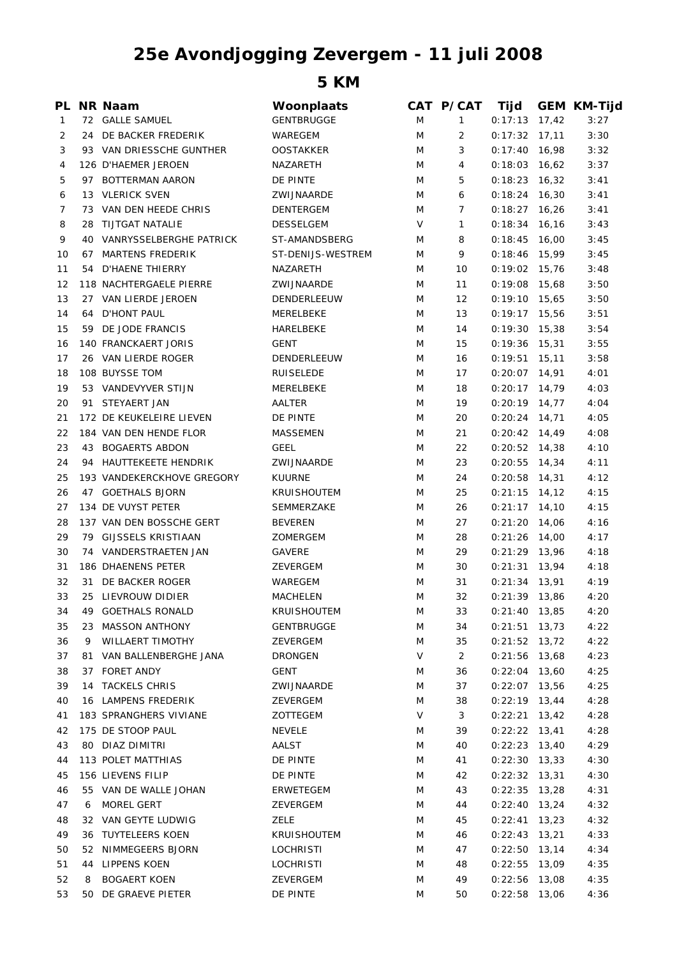## **25e Avondjogging Zevergem - 11 juli 2008**

**5 KM**

|    |                     | Woonplaats                                                                                                                                                                                                                                                                                                                                                                                                                                                                                                                                                                                                                                                                                                                                                                                                                                                                                                                                                                                                                                                                                                                                                                                                           |                                                                                                                                                                                                                                                                                                                                                     |                                                                                                            | Tijd                                                                                                                                                     |                    | <b>GEM KM-Tijd</b>                                                                                                                                                                                                                                                                                                                                                                                                                                                                                                                                                                                                                                                                                                                                                                                                                                                                                                                                                 |
|----|---------------------|----------------------------------------------------------------------------------------------------------------------------------------------------------------------------------------------------------------------------------------------------------------------------------------------------------------------------------------------------------------------------------------------------------------------------------------------------------------------------------------------------------------------------------------------------------------------------------------------------------------------------------------------------------------------------------------------------------------------------------------------------------------------------------------------------------------------------------------------------------------------------------------------------------------------------------------------------------------------------------------------------------------------------------------------------------------------------------------------------------------------------------------------------------------------------------------------------------------------|-----------------------------------------------------------------------------------------------------------------------------------------------------------------------------------------------------------------------------------------------------------------------------------------------------------------------------------------------------|------------------------------------------------------------------------------------------------------------|----------------------------------------------------------------------------------------------------------------------------------------------------------|--------------------|--------------------------------------------------------------------------------------------------------------------------------------------------------------------------------------------------------------------------------------------------------------------------------------------------------------------------------------------------------------------------------------------------------------------------------------------------------------------------------------------------------------------------------------------------------------------------------------------------------------------------------------------------------------------------------------------------------------------------------------------------------------------------------------------------------------------------------------------------------------------------------------------------------------------------------------------------------------------|
|    |                     | <b>GENTBRUGGE</b>                                                                                                                                                                                                                                                                                                                                                                                                                                                                                                                                                                                                                                                                                                                                                                                                                                                                                                                                                                                                                                                                                                                                                                                                    | M                                                                                                                                                                                                                                                                                                                                                   | $\mathbf{1}$                                                                                               | 0:17:13                                                                                                                                                  |                    | 3:27                                                                                                                                                                                                                                                                                                                                                                                                                                                                                                                                                                                                                                                                                                                                                                                                                                                                                                                                                               |
|    |                     | WAREGEM                                                                                                                                                                                                                                                                                                                                                                                                                                                                                                                                                                                                                                                                                                                                                                                                                                                                                                                                                                                                                                                                                                                                                                                                              | M                                                                                                                                                                                                                                                                                                                                                   | 2                                                                                                          | 0:17:32                                                                                                                                                  | 17,11              | 3:30                                                                                                                                                                                                                                                                                                                                                                                                                                                                                                                                                                                                                                                                                                                                                                                                                                                                                                                                                               |
|    |                     | <b>OOSTAKKER</b>                                                                                                                                                                                                                                                                                                                                                                                                                                                                                                                                                                                                                                                                                                                                                                                                                                                                                                                                                                                                                                                                                                                                                                                                     | M                                                                                                                                                                                                                                                                                                                                                   | 3                                                                                                          |                                                                                                                                                          |                    | 3:32                                                                                                                                                                                                                                                                                                                                                                                                                                                                                                                                                                                                                                                                                                                                                                                                                                                                                                                                                               |
|    |                     | NAZARETH                                                                                                                                                                                                                                                                                                                                                                                                                                                                                                                                                                                                                                                                                                                                                                                                                                                                                                                                                                                                                                                                                                                                                                                                             | M                                                                                                                                                                                                                                                                                                                                                   | $\overline{4}$                                                                                             |                                                                                                                                                          |                    | 3:37                                                                                                                                                                                                                                                                                                                                                                                                                                                                                                                                                                                                                                                                                                                                                                                                                                                                                                                                                               |
|    |                     | DE PINTE                                                                                                                                                                                                                                                                                                                                                                                                                                                                                                                                                                                                                                                                                                                                                                                                                                                                                                                                                                                                                                                                                                                                                                                                             | M                                                                                                                                                                                                                                                                                                                                                   | 5                                                                                                          |                                                                                                                                                          |                    | 3:41                                                                                                                                                                                                                                                                                                                                                                                                                                                                                                                                                                                                                                                                                                                                                                                                                                                                                                                                                               |
|    |                     | ZWIJNAARDE                                                                                                                                                                                                                                                                                                                                                                                                                                                                                                                                                                                                                                                                                                                                                                                                                                                                                                                                                                                                                                                                                                                                                                                                           | M                                                                                                                                                                                                                                                                                                                                                   | 6                                                                                                          |                                                                                                                                                          |                    | 3:41                                                                                                                                                                                                                                                                                                                                                                                                                                                                                                                                                                                                                                                                                                                                                                                                                                                                                                                                                               |
|    |                     | DENTERGEM                                                                                                                                                                                                                                                                                                                                                                                                                                                                                                                                                                                                                                                                                                                                                                                                                                                                                                                                                                                                                                                                                                                                                                                                            | M                                                                                                                                                                                                                                                                                                                                                   | $\overline{7}$                                                                                             |                                                                                                                                                          |                    | 3:41                                                                                                                                                                                                                                                                                                                                                                                                                                                                                                                                                                                                                                                                                                                                                                                                                                                                                                                                                               |
|    |                     | <b>DESSELGEM</b>                                                                                                                                                                                                                                                                                                                                                                                                                                                                                                                                                                                                                                                                                                                                                                                                                                                                                                                                                                                                                                                                                                                                                                                                     | V                                                                                                                                                                                                                                                                                                                                                   | $\mathbf{1}$                                                                                               |                                                                                                                                                          | 16,16              | 3:43                                                                                                                                                                                                                                                                                                                                                                                                                                                                                                                                                                                                                                                                                                                                                                                                                                                                                                                                                               |
|    |                     | ST-AMANDSBERG                                                                                                                                                                                                                                                                                                                                                                                                                                                                                                                                                                                                                                                                                                                                                                                                                                                                                                                                                                                                                                                                                                                                                                                                        | M                                                                                                                                                                                                                                                                                                                                                   | 8                                                                                                          |                                                                                                                                                          | 16,00              | 3:45                                                                                                                                                                                                                                                                                                                                                                                                                                                                                                                                                                                                                                                                                                                                                                                                                                                                                                                                                               |
|    |                     | ST-DENIJS-WESTREM                                                                                                                                                                                                                                                                                                                                                                                                                                                                                                                                                                                                                                                                                                                                                                                                                                                                                                                                                                                                                                                                                                                                                                                                    | M                                                                                                                                                                                                                                                                                                                                                   | 9                                                                                                          |                                                                                                                                                          |                    | 3:45                                                                                                                                                                                                                                                                                                                                                                                                                                                                                                                                                                                                                                                                                                                                                                                                                                                                                                                                                               |
| 54 |                     | NAZARETH                                                                                                                                                                                                                                                                                                                                                                                                                                                                                                                                                                                                                                                                                                                                                                                                                                                                                                                                                                                                                                                                                                                                                                                                             | M                                                                                                                                                                                                                                                                                                                                                   | 10                                                                                                         |                                                                                                                                                          |                    | 3:48                                                                                                                                                                                                                                                                                                                                                                                                                                                                                                                                                                                                                                                                                                                                                                                                                                                                                                                                                               |
|    |                     | ZWIJNAARDE                                                                                                                                                                                                                                                                                                                                                                                                                                                                                                                                                                                                                                                                                                                                                                                                                                                                                                                                                                                                                                                                                                                                                                                                           | M                                                                                                                                                                                                                                                                                                                                                   | 11                                                                                                         |                                                                                                                                                          |                    | 3:50                                                                                                                                                                                                                                                                                                                                                                                                                                                                                                                                                                                                                                                                                                                                                                                                                                                                                                                                                               |
|    |                     |                                                                                                                                                                                                                                                                                                                                                                                                                                                                                                                                                                                                                                                                                                                                                                                                                                                                                                                                                                                                                                                                                                                                                                                                                      |                                                                                                                                                                                                                                                                                                                                                     |                                                                                                            |                                                                                                                                                          |                    | 3:50                                                                                                                                                                                                                                                                                                                                                                                                                                                                                                                                                                                                                                                                                                                                                                                                                                                                                                                                                               |
|    |                     |                                                                                                                                                                                                                                                                                                                                                                                                                                                                                                                                                                                                                                                                                                                                                                                                                                                                                                                                                                                                                                                                                                                                                                                                                      |                                                                                                                                                                                                                                                                                                                                                     |                                                                                                            |                                                                                                                                                          |                    | 3:51                                                                                                                                                                                                                                                                                                                                                                                                                                                                                                                                                                                                                                                                                                                                                                                                                                                                                                                                                               |
|    |                     |                                                                                                                                                                                                                                                                                                                                                                                                                                                                                                                                                                                                                                                                                                                                                                                                                                                                                                                                                                                                                                                                                                                                                                                                                      |                                                                                                                                                                                                                                                                                                                                                     |                                                                                                            |                                                                                                                                                          |                    | 3:54                                                                                                                                                                                                                                                                                                                                                                                                                                                                                                                                                                                                                                                                                                                                                                                                                                                                                                                                                               |
|    |                     |                                                                                                                                                                                                                                                                                                                                                                                                                                                                                                                                                                                                                                                                                                                                                                                                                                                                                                                                                                                                                                                                                                                                                                                                                      |                                                                                                                                                                                                                                                                                                                                                     |                                                                                                            |                                                                                                                                                          |                    | 3:55                                                                                                                                                                                                                                                                                                                                                                                                                                                                                                                                                                                                                                                                                                                                                                                                                                                                                                                                                               |
|    |                     |                                                                                                                                                                                                                                                                                                                                                                                                                                                                                                                                                                                                                                                                                                                                                                                                                                                                                                                                                                                                                                                                                                                                                                                                                      |                                                                                                                                                                                                                                                                                                                                                     |                                                                                                            |                                                                                                                                                          |                    | 3:58                                                                                                                                                                                                                                                                                                                                                                                                                                                                                                                                                                                                                                                                                                                                                                                                                                                                                                                                                               |
|    |                     |                                                                                                                                                                                                                                                                                                                                                                                                                                                                                                                                                                                                                                                                                                                                                                                                                                                                                                                                                                                                                                                                                                                                                                                                                      |                                                                                                                                                                                                                                                                                                                                                     |                                                                                                            |                                                                                                                                                          |                    | 4:01                                                                                                                                                                                                                                                                                                                                                                                                                                                                                                                                                                                                                                                                                                                                                                                                                                                                                                                                                               |
|    |                     |                                                                                                                                                                                                                                                                                                                                                                                                                                                                                                                                                                                                                                                                                                                                                                                                                                                                                                                                                                                                                                                                                                                                                                                                                      |                                                                                                                                                                                                                                                                                                                                                     |                                                                                                            |                                                                                                                                                          |                    | 4:03                                                                                                                                                                                                                                                                                                                                                                                                                                                                                                                                                                                                                                                                                                                                                                                                                                                                                                                                                               |
|    |                     |                                                                                                                                                                                                                                                                                                                                                                                                                                                                                                                                                                                                                                                                                                                                                                                                                                                                                                                                                                                                                                                                                                                                                                                                                      |                                                                                                                                                                                                                                                                                                                                                     |                                                                                                            |                                                                                                                                                          |                    | 4:04                                                                                                                                                                                                                                                                                                                                                                                                                                                                                                                                                                                                                                                                                                                                                                                                                                                                                                                                                               |
|    |                     |                                                                                                                                                                                                                                                                                                                                                                                                                                                                                                                                                                                                                                                                                                                                                                                                                                                                                                                                                                                                                                                                                                                                                                                                                      |                                                                                                                                                                                                                                                                                                                                                     |                                                                                                            |                                                                                                                                                          |                    | 4:05                                                                                                                                                                                                                                                                                                                                                                                                                                                                                                                                                                                                                                                                                                                                                                                                                                                                                                                                                               |
|    |                     |                                                                                                                                                                                                                                                                                                                                                                                                                                                                                                                                                                                                                                                                                                                                                                                                                                                                                                                                                                                                                                                                                                                                                                                                                      |                                                                                                                                                                                                                                                                                                                                                     |                                                                                                            |                                                                                                                                                          |                    | 4:08                                                                                                                                                                                                                                                                                                                                                                                                                                                                                                                                                                                                                                                                                                                                                                                                                                                                                                                                                               |
|    |                     |                                                                                                                                                                                                                                                                                                                                                                                                                                                                                                                                                                                                                                                                                                                                                                                                                                                                                                                                                                                                                                                                                                                                                                                                                      |                                                                                                                                                                                                                                                                                                                                                     |                                                                                                            |                                                                                                                                                          |                    |                                                                                                                                                                                                                                                                                                                                                                                                                                                                                                                                                                                                                                                                                                                                                                                                                                                                                                                                                                    |
|    |                     |                                                                                                                                                                                                                                                                                                                                                                                                                                                                                                                                                                                                                                                                                                                                                                                                                                                                                                                                                                                                                                                                                                                                                                                                                      |                                                                                                                                                                                                                                                                                                                                                     |                                                                                                            |                                                                                                                                                          |                    | 4:10                                                                                                                                                                                                                                                                                                                                                                                                                                                                                                                                                                                                                                                                                                                                                                                                                                                                                                                                                               |
|    |                     |                                                                                                                                                                                                                                                                                                                                                                                                                                                                                                                                                                                                                                                                                                                                                                                                                                                                                                                                                                                                                                                                                                                                                                                                                      |                                                                                                                                                                                                                                                                                                                                                     |                                                                                                            |                                                                                                                                                          |                    | 4:11                                                                                                                                                                                                                                                                                                                                                                                                                                                                                                                                                                                                                                                                                                                                                                                                                                                                                                                                                               |
|    |                     |                                                                                                                                                                                                                                                                                                                                                                                                                                                                                                                                                                                                                                                                                                                                                                                                                                                                                                                                                                                                                                                                                                                                                                                                                      |                                                                                                                                                                                                                                                                                                                                                     |                                                                                                            |                                                                                                                                                          |                    | 4:12                                                                                                                                                                                                                                                                                                                                                                                                                                                                                                                                                                                                                                                                                                                                                                                                                                                                                                                                                               |
|    |                     |                                                                                                                                                                                                                                                                                                                                                                                                                                                                                                                                                                                                                                                                                                                                                                                                                                                                                                                                                                                                                                                                                                                                                                                                                      |                                                                                                                                                                                                                                                                                                                                                     |                                                                                                            |                                                                                                                                                          |                    | 4:15                                                                                                                                                                                                                                                                                                                                                                                                                                                                                                                                                                                                                                                                                                                                                                                                                                                                                                                                                               |
|    |                     |                                                                                                                                                                                                                                                                                                                                                                                                                                                                                                                                                                                                                                                                                                                                                                                                                                                                                                                                                                                                                                                                                                                                                                                                                      |                                                                                                                                                                                                                                                                                                                                                     |                                                                                                            |                                                                                                                                                          |                    | 4:15                                                                                                                                                                                                                                                                                                                                                                                                                                                                                                                                                                                                                                                                                                                                                                                                                                                                                                                                                               |
|    |                     |                                                                                                                                                                                                                                                                                                                                                                                                                                                                                                                                                                                                                                                                                                                                                                                                                                                                                                                                                                                                                                                                                                                                                                                                                      |                                                                                                                                                                                                                                                                                                                                                     |                                                                                                            |                                                                                                                                                          |                    | 4:16                                                                                                                                                                                                                                                                                                                                                                                                                                                                                                                                                                                                                                                                                                                                                                                                                                                                                                                                                               |
|    |                     |                                                                                                                                                                                                                                                                                                                                                                                                                                                                                                                                                                                                                                                                                                                                                                                                                                                                                                                                                                                                                                                                                                                                                                                                                      |                                                                                                                                                                                                                                                                                                                                                     |                                                                                                            |                                                                                                                                                          |                    | 4:17                                                                                                                                                                                                                                                                                                                                                                                                                                                                                                                                                                                                                                                                                                                                                                                                                                                                                                                                                               |
|    |                     |                                                                                                                                                                                                                                                                                                                                                                                                                                                                                                                                                                                                                                                                                                                                                                                                                                                                                                                                                                                                                                                                                                                                                                                                                      |                                                                                                                                                                                                                                                                                                                                                     |                                                                                                            |                                                                                                                                                          |                    | 4:18                                                                                                                                                                                                                                                                                                                                                                                                                                                                                                                                                                                                                                                                                                                                                                                                                                                                                                                                                               |
|    |                     |                                                                                                                                                                                                                                                                                                                                                                                                                                                                                                                                                                                                                                                                                                                                                                                                                                                                                                                                                                                                                                                                                                                                                                                                                      |                                                                                                                                                                                                                                                                                                                                                     |                                                                                                            |                                                                                                                                                          |                    | 4:18                                                                                                                                                                                                                                                                                                                                                                                                                                                                                                                                                                                                                                                                                                                                                                                                                                                                                                                                                               |
|    |                     |                                                                                                                                                                                                                                                                                                                                                                                                                                                                                                                                                                                                                                                                                                                                                                                                                                                                                                                                                                                                                                                                                                                                                                                                                      |                                                                                                                                                                                                                                                                                                                                                     |                                                                                                            |                                                                                                                                                          |                    | 4:19                                                                                                                                                                                                                                                                                                                                                                                                                                                                                                                                                                                                                                                                                                                                                                                                                                                                                                                                                               |
|    |                     |                                                                                                                                                                                                                                                                                                                                                                                                                                                                                                                                                                                                                                                                                                                                                                                                                                                                                                                                                                                                                                                                                                                                                                                                                      |                                                                                                                                                                                                                                                                                                                                                     |                                                                                                            |                                                                                                                                                          |                    | 4:20                                                                                                                                                                                                                                                                                                                                                                                                                                                                                                                                                                                                                                                                                                                                                                                                                                                                                                                                                               |
|    |                     |                                                                                                                                                                                                                                                                                                                                                                                                                                                                                                                                                                                                                                                                                                                                                                                                                                                                                                                                                                                                                                                                                                                                                                                                                      |                                                                                                                                                                                                                                                                                                                                                     |                                                                                                            |                                                                                                                                                          |                    | 4:20                                                                                                                                                                                                                                                                                                                                                                                                                                                                                                                                                                                                                                                                                                                                                                                                                                                                                                                                                               |
|    |                     | GENTBRUGGE                                                                                                                                                                                                                                                                                                                                                                                                                                                                                                                                                                                                                                                                                                                                                                                                                                                                                                                                                                                                                                                                                                                                                                                                           | M                                                                                                                                                                                                                                                                                                                                                   | 34                                                                                                         |                                                                                                                                                          |                    | 4:22                                                                                                                                                                                                                                                                                                                                                                                                                                                                                                                                                                                                                                                                                                                                                                                                                                                                                                                                                               |
| 9  |                     |                                                                                                                                                                                                                                                                                                                                                                                                                                                                                                                                                                                                                                                                                                                                                                                                                                                                                                                                                                                                                                                                                                                                                                                                                      |                                                                                                                                                                                                                                                                                                                                                     |                                                                                                            |                                                                                                                                                          |                    | 4:22                                                                                                                                                                                                                                                                                                                                                                                                                                                                                                                                                                                                                                                                                                                                                                                                                                                                                                                                                               |
| 81 |                     | <b>DRONGEN</b>                                                                                                                                                                                                                                                                                                                                                                                                                                                                                                                                                                                                                                                                                                                                                                                                                                                                                                                                                                                                                                                                                                                                                                                                       | V                                                                                                                                                                                                                                                                                                                                                   | $\overline{2}$                                                                                             |                                                                                                                                                          |                    | 4:23                                                                                                                                                                                                                                                                                                                                                                                                                                                                                                                                                                                                                                                                                                                                                                                                                                                                                                                                                               |
|    |                     | GENT                                                                                                                                                                                                                                                                                                                                                                                                                                                                                                                                                                                                                                                                                                                                                                                                                                                                                                                                                                                                                                                                                                                                                                                                                 | M                                                                                                                                                                                                                                                                                                                                                   | 36                                                                                                         |                                                                                                                                                          |                    | 4:25                                                                                                                                                                                                                                                                                                                                                                                                                                                                                                                                                                                                                                                                                                                                                                                                                                                                                                                                                               |
|    |                     | ZWIJNAARDE                                                                                                                                                                                                                                                                                                                                                                                                                                                                                                                                                                                                                                                                                                                                                                                                                                                                                                                                                                                                                                                                                                                                                                                                           | M                                                                                                                                                                                                                                                                                                                                                   | 37                                                                                                         |                                                                                                                                                          |                    | 4:25                                                                                                                                                                                                                                                                                                                                                                                                                                                                                                                                                                                                                                                                                                                                                                                                                                                                                                                                                               |
|    |                     | ZEVERGEM                                                                                                                                                                                                                                                                                                                                                                                                                                                                                                                                                                                                                                                                                                                                                                                                                                                                                                                                                                                                                                                                                                                                                                                                             | M                                                                                                                                                                                                                                                                                                                                                   | 38                                                                                                         |                                                                                                                                                          |                    | 4:28                                                                                                                                                                                                                                                                                                                                                                                                                                                                                                                                                                                                                                                                                                                                                                                                                                                                                                                                                               |
|    |                     | ZOTTEGEM                                                                                                                                                                                                                                                                                                                                                                                                                                                                                                                                                                                                                                                                                                                                                                                                                                                                                                                                                                                                                                                                                                                                                                                                             | V                                                                                                                                                                                                                                                                                                                                                   | 3                                                                                                          |                                                                                                                                                          |                    | 4:28                                                                                                                                                                                                                                                                                                                                                                                                                                                                                                                                                                                                                                                                                                                                                                                                                                                                                                                                                               |
|    |                     | <b>NEVELE</b>                                                                                                                                                                                                                                                                                                                                                                                                                                                                                                                                                                                                                                                                                                                                                                                                                                                                                                                                                                                                                                                                                                                                                                                                        | M                                                                                                                                                                                                                                                                                                                                                   | 39                                                                                                         |                                                                                                                                                          |                    | 4:28                                                                                                                                                                                                                                                                                                                                                                                                                                                                                                                                                                                                                                                                                                                                                                                                                                                                                                                                                               |
|    |                     | AALST                                                                                                                                                                                                                                                                                                                                                                                                                                                                                                                                                                                                                                                                                                                                                                                                                                                                                                                                                                                                                                                                                                                                                                                                                | M                                                                                                                                                                                                                                                                                                                                                   | 40                                                                                                         |                                                                                                                                                          |                    | 4:29                                                                                                                                                                                                                                                                                                                                                                                                                                                                                                                                                                                                                                                                                                                                                                                                                                                                                                                                                               |
|    |                     | DE PINTE                                                                                                                                                                                                                                                                                                                                                                                                                                                                                                                                                                                                                                                                                                                                                                                                                                                                                                                                                                                                                                                                                                                                                                                                             | M                                                                                                                                                                                                                                                                                                                                                   | 41                                                                                                         |                                                                                                                                                          |                    | 4:30                                                                                                                                                                                                                                                                                                                                                                                                                                                                                                                                                                                                                                                                                                                                                                                                                                                                                                                                                               |
|    |                     | DE PINTE                                                                                                                                                                                                                                                                                                                                                                                                                                                                                                                                                                                                                                                                                                                                                                                                                                                                                                                                                                                                                                                                                                                                                                                                             | M                                                                                                                                                                                                                                                                                                                                                   | 42                                                                                                         |                                                                                                                                                          |                    | 4:30                                                                                                                                                                                                                                                                                                                                                                                                                                                                                                                                                                                                                                                                                                                                                                                                                                                                                                                                                               |
|    |                     | ERWETEGEM                                                                                                                                                                                                                                                                                                                                                                                                                                                                                                                                                                                                                                                                                                                                                                                                                                                                                                                                                                                                                                                                                                                                                                                                            | M                                                                                                                                                                                                                                                                                                                                                   | 43                                                                                                         |                                                                                                                                                          |                    | 4:31                                                                                                                                                                                                                                                                                                                                                                                                                                                                                                                                                                                                                                                                                                                                                                                                                                                                                                                                                               |
| 6  | MOREL GERT          | ZEVERGEM                                                                                                                                                                                                                                                                                                                                                                                                                                                                                                                                                                                                                                                                                                                                                                                                                                                                                                                                                                                                                                                                                                                                                                                                             | M                                                                                                                                                                                                                                                                                                                                                   | 44                                                                                                         |                                                                                                                                                          |                    | 4:32                                                                                                                                                                                                                                                                                                                                                                                                                                                                                                                                                                                                                                                                                                                                                                                                                                                                                                                                                               |
|    |                     | ZELE                                                                                                                                                                                                                                                                                                                                                                                                                                                                                                                                                                                                                                                                                                                                                                                                                                                                                                                                                                                                                                                                                                                                                                                                                 | M                                                                                                                                                                                                                                                                                                                                                   | 45                                                                                                         |                                                                                                                                                          | 13,23              | 4:32                                                                                                                                                                                                                                                                                                                                                                                                                                                                                                                                                                                                                                                                                                                                                                                                                                                                                                                                                               |
|    |                     | <b>KRUISHOUTEM</b>                                                                                                                                                                                                                                                                                                                                                                                                                                                                                                                                                                                                                                                                                                                                                                                                                                                                                                                                                                                                                                                                                                                                                                                                   | M                                                                                                                                                                                                                                                                                                                                                   | 46                                                                                                         |                                                                                                                                                          |                    | 4:33                                                                                                                                                                                                                                                                                                                                                                                                                                                                                                                                                                                                                                                                                                                                                                                                                                                                                                                                                               |
| 52 |                     | LOCHRISTI                                                                                                                                                                                                                                                                                                                                                                                                                                                                                                                                                                                                                                                                                                                                                                                                                                                                                                                                                                                                                                                                                                                                                                                                            | M                                                                                                                                                                                                                                                                                                                                                   | 47                                                                                                         |                                                                                                                                                          |                    | 4:34                                                                                                                                                                                                                                                                                                                                                                                                                                                                                                                                                                                                                                                                                                                                                                                                                                                                                                                                                               |
| 44 |                     | <b>LOCHRISTI</b>                                                                                                                                                                                                                                                                                                                                                                                                                                                                                                                                                                                                                                                                                                                                                                                                                                                                                                                                                                                                                                                                                                                                                                                                     | M                                                                                                                                                                                                                                                                                                                                                   | 48                                                                                                         |                                                                                                                                                          |                    | 4:35                                                                                                                                                                                                                                                                                                                                                                                                                                                                                                                                                                                                                                                                                                                                                                                                                                                                                                                                                               |
| 8  | <b>BOGAERT KOEN</b> | ZEVERGEM                                                                                                                                                                                                                                                                                                                                                                                                                                                                                                                                                                                                                                                                                                                                                                                                                                                                                                                                                                                                                                                                                                                                                                                                             | M                                                                                                                                                                                                                                                                                                                                                   | 49                                                                                                         |                                                                                                                                                          |                    | 4:35                                                                                                                                                                                                                                                                                                                                                                                                                                                                                                                                                                                                                                                                                                                                                                                                                                                                                                                                                               |
|    |                     | DE PINTE                                                                                                                                                                                                                                                                                                                                                                                                                                                                                                                                                                                                                                                                                                                                                                                                                                                                                                                                                                                                                                                                                                                                                                                                             | M                                                                                                                                                                                                                                                                                                                                                   | 50                                                                                                         |                                                                                                                                                          |                    | 4:36                                                                                                                                                                                                                                                                                                                                                                                                                                                                                                                                                                                                                                                                                                                                                                                                                                                                                                                                                               |
|    | PL                  | <b>NR Naam</b><br>72 GALLE SAMUEL<br>24 DE BACKER FREDERIK<br>93 VAN DRIESSCHE GUNTHER<br>126 D'HAEMER JEROEN<br>97 BOTTERMAN AARON<br>13 VLERICK SVEN<br>73 VAN DEN HEEDE CHRIS<br>28 TIJTGAT NATALIE<br>40 VANRYSSELBERGHE PATRICK<br>67 MARTENS FREDERIK<br>D'HAENE THIERRY<br>118 NACHTERGAELE PIERRE<br>27 VAN LIERDE JEROEN<br>64 D'HONT PAUL<br>59 DE JODE FRANCIS<br>140 FRANCKAERT JORIS<br>26 VAN LIERDE ROGER<br>108 BUYSSE TOM<br>53 VANDEVYVER STIJN<br>91 STEYAERT JAN<br>172 DE KEUKELEIRE LIEVEN<br>184 VAN DEN HENDE FLOR<br>43 BOGAERTS ABDON<br>94 HAUTTEKEETE HENDRIK<br>193 VANDEKERCKHOVE GREGORY<br>47 GOETHALS BJORN<br>134 DE VUYST PETER<br>137 VAN DEN BOSSCHE GERT<br>79 GIJSSELS KRISTIAAN<br>74 VANDERSTRAETEN JAN<br>186 DHAENENS PETER<br>31 DE BACKER ROGER<br>25 LIEVROUW DIDIER<br>49 GOETHALS RONALD<br>23 MASSON ANTHONY<br>WILLAERT TIMOTHY<br>VAN BALLENBERGHE JANA<br>37 FORET ANDY<br>14 TACKELS CHRIS<br>16 LAMPENS FREDERIK<br>183 SPRANGHERS VIVIANE<br>175 DE STOOP PAUL<br>80 DIAZ DIMITRI<br>113 POLET MATTHIAS<br>156 LIEVENS FILIP<br>55 VAN DE WALLE JOHAN<br>32 VAN GEYTE LUDWIG<br>36 TUYTELEERS KOEN<br>NIMMEGEERS BJORN<br>LIPPENS KOEN<br>50 DE GRAEVE PIETER | DENDERLEEUW<br>MERELBEKE<br>HARELBEKE<br><b>GENT</b><br>DENDERLEEUW<br><b>RUISELEDE</b><br>MERELBEKE<br>AALTER<br>DE PINTE<br><b>MASSEMEN</b><br>GEEL<br>ZWIJNAARDE<br><b>KUURNE</b><br><b>KRUISHOUTEM</b><br>SEMMERZAKE<br><b>BEVEREN</b><br>ZOMERGEM<br><b>GAVERE</b><br>ZEVERGEM<br><b>WAREGEM</b><br><b>MACHELEN</b><br>KRUISHOUTEM<br>ZEVERGEM | M<br>M<br>M<br>M<br>M<br>M<br>M<br>M<br>M<br>M<br>M<br>M<br>M<br>M<br>M<br>M<br>M<br>M<br>M<br>M<br>M<br>M | CAT P/CAT<br>12<br>13<br>14<br>15<br>16<br>17<br>18<br>19<br>20<br>21<br>22<br>23<br>24<br>25<br>26<br>27<br>28<br>29<br>30<br>31<br>32<br>M<br>33<br>35 | 0:20:24<br>0:22:41 | 17,42<br>$0:17:40$ 16,98<br>$0:18:03$ 16,62<br>$0:18:23$ 16,32<br>$0:18:24$ 16,30<br>$0:18:27$ 16,26<br>0:18:34<br>0:18:45<br>$0:18:46$ 15,99<br>$0:19:02$ 15,76<br>$0:19:08$ 15,68<br>$0:19:10$ 15,65<br>$0:19:17$ 15,56<br>$0:19:30$ 15,38<br>$0:19:36$ 15,31<br>$0:19:51$ 15,11<br>$0:20:07$ 14,91<br>$0:20:17$ 14,79<br>$0:20:19$ 14,77<br>14,71<br>$0:20:42$ 14,49<br>$0:20:52$ 14,38<br>$0:20:55$ 14,34<br>$0:20:58$ 14,31<br>$0:21:15$ 14,12<br>$0:21:17$ 14,10<br>$0:21:20$ 14,06<br>$0:21:26$ 14,00<br>$0:21:29$ 13,96<br>0:21:31<br>13,94<br>$0:21:34$ 13,91<br>$0:21:39$ 13,86<br>$0:21:40$ 13,85<br>$0:21:51$ 13,73<br>$0:21:52$ 13,72<br>$0:21:56$ 13,68<br>$0:22:04$ 13,60<br>$0:22:07$ 13,56<br>$0:22:19$ 13,44<br>$0:22:21$ 13,42<br>$0:22:22$ 13,41<br>$0:22:23$ 13,40<br>$0:22:30$ 13,33<br>$0:22:32$ 13,31<br>$0:22:35$ 13,28<br>$0:22:40$ 13,24<br>$0:22:43$ 13,21<br>$0:22:50$ 13,14<br>$0:22:55$ 13,09<br>$0:22:56$ 13,08<br>$0:22:58$ 13,06 |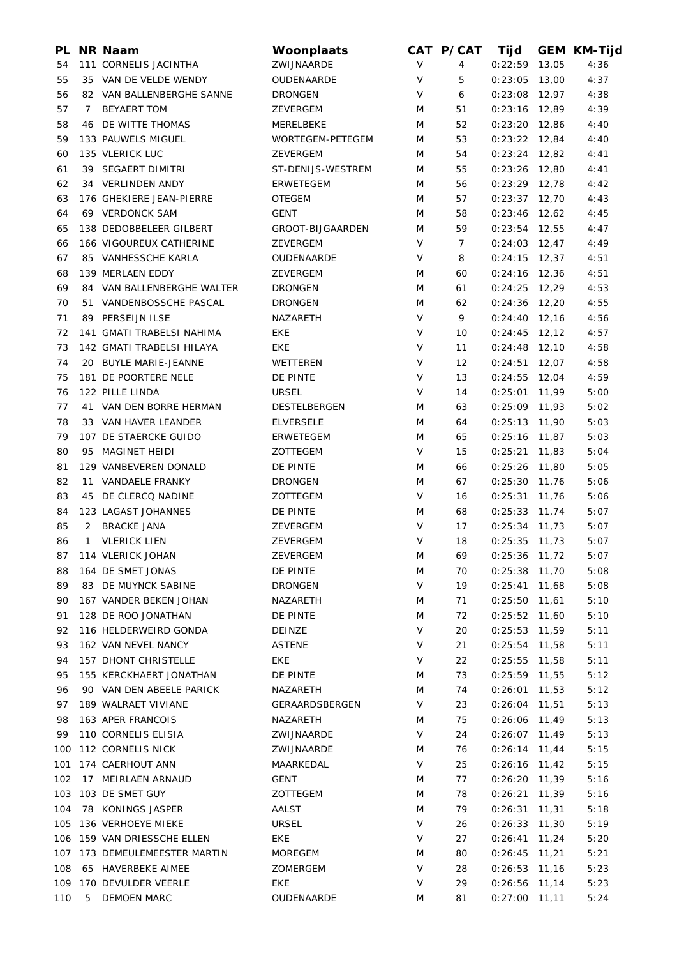| PL. |                | <b>NR Naam</b>             | Woonplaats        |        | CAT P/CAT      | Tijd            |       | <b>GEM KM-Tijd</b> |
|-----|----------------|----------------------------|-------------------|--------|----------------|-----------------|-------|--------------------|
| 54  |                | 111 CORNELIS JACINTHA      | ZWIJNAARDE        | $\vee$ | 4              | 0:22:59         | 13,05 | 4:36               |
| 55  |                | 35 VAN DE VELDE WENDY      | OUDENAARDE        | V      | 5              | 0:23:05         | 13,00 | 4:37               |
| 56  |                | 82 VAN BALLENBERGHE SANNE  | <b>DRONGEN</b>    | V      | 6              | $0:23:08$ 12,97 |       | 4:38               |
| 57  | 7 <sup>7</sup> | <b>BEYAERT TOM</b>         | ZEVERGEM          | M      | 51             | $0:23:16$ 12,89 |       | 4:39               |
| 58  |                | <b>46 DE WITTE THOMAS</b>  | MERELBEKE         | M      | 52             | $0:23:20$ 12,86 |       | 4:40               |
| 59  |                | 133 PAUWELS MIGUEL         | WORTEGEM-PETEGEM  | M      | 53             | $0:23:22$ 12,84 |       | 4:40               |
| 60  |                | 135 VLERICK LUC            | ZEVERGEM          | M      | 54             | $0:23:24$ 12,82 |       | 4:41               |
| 61  |                | 39 SEGAERT DIMITRI         | ST-DENIJS-WESTREM | M      | 55             | $0:23:26$ 12,80 |       | 4:41               |
| 62  |                | 34 VERLINDEN ANDY          | <b>ERWETEGEM</b>  | M      | 56             | $0:23:29$ 12,78 |       | 4:42               |
| 63  |                | 176 GHEKIERE JEAN-PIERRE   | <b>OTEGEM</b>     | M      | 57             | $0:23:37$ 12,70 |       | 4:43               |
| 64  |                | 69 VERDONCK SAM            | <b>GENT</b>       | M      | 58             | $0:23:46$ 12,62 |       | 4:45               |
| 65  |                | 138 DEDOBBELEER GILBERT    | GROOT-BIJGAARDEN  | M      | 59             | $0:23:54$ 12,55 |       | 4:47               |
| 66  |                | 166 VIGOUREUX CATHERINE    | ZEVERGEM          | V      | $\overline{7}$ | $0:24:03$ 12,47 |       | 4:49               |
| 67  |                | 85 VANHESSCHE KARLA        | OUDENAARDE        | V      | 8              | $0:24:15$ 12,37 |       | 4:51               |
| 68  |                | 139 MERLAEN EDDY           | ZEVERGEM          | M      | 60             | $0:24:16$ 12,36 |       | 4:51               |
| 69  |                | 84 VAN BALLENBERGHE WALTER | <b>DRONGEN</b>    | M      | 61             | $0:24:25$ 12,29 |       | 4:53               |
| 70  |                | 51 VANDENBOSSCHE PASCAL    | <b>DRONGEN</b>    | M      | 62             | $0:24:36$ 12,20 |       | 4:55               |
| 71  |                | 89 PERSEIJN ILSE           | NAZARETH          | V      | 9              | $0:24:40$ 12,16 |       | 4:56               |
| 72  |                | 141 GMATI TRABELSI NAHIMA  | EKE               | V      | 10             | $0:24:45$ 12,12 |       | 4:57               |
| 73  |                | 142 GMATI TRABELSI HILAYA  | <b>EKE</b>        | V      | 11             | $0:24:48$ 12,10 |       | 4:58               |
| 74  |                | 20 BUYLE MARIE-JEANNE      | WETTEREN          | V      | 12             | $0:24:51$ 12,07 |       | 4:58               |
| 75  |                | 181 DE POORTERE NELE       | DE PINTE          | $\vee$ | 13             | $0:24:55$ 12,04 |       | 4:59               |
| 76  |                | 122 PILLE LINDA            | <b>URSEL</b>      | V      | 14             | $0:25:01$ 11,99 |       | 5:00               |
| 77  |                | 41 VAN DEN BORRE HERMAN    | DESTELBERGEN      | M      | 63             | $0:25:09$ 11,93 |       | 5:02               |
| 78  |                | 33 VAN HAVER LEANDER       | <b>ELVERSELE</b>  | M      | 64             | $0:25:13$ 11,90 |       | 5:03               |
| 79  |                | 107 DE STAERCKE GUIDO      | ERWETEGEM         | M      | 65             | $0:25:16$ 11,87 |       | 5:03               |
| 80  |                | 95 MAGINET HEIDI           | ZOTTEGEM          | V      | 15             | $0:25:21$ 11,83 |       | 5:04               |
| 81  |                | 129 VANBEVEREN DONALD      | DE PINTE          | M      | 66             | 0:25:26         | 11,80 | 5:05               |
| 82  |                | 11 VANDAELE FRANKY         | <b>DRONGEN</b>    | M      | 67             | 0:25:30         | 11,76 | 5:06               |
| 83  |                | 45 DE CLERCQ NADINE        | ZOTTEGEM          | V      | 16             | 0:25:31         | 11,76 | 5:06               |
| 84  |                | 123 LAGAST JOHANNES        | DE PINTE          | M      | 68             | $0:25:33$ 11,74 |       | 5:07               |
| 85  |                | 2 BRACKE JANA              | ZEVERGEM          | V      | 17             | $0:25:34$ 11,73 |       | 5:07               |
| 86  |                | 1 VLERICK LIEN             | ZEVERGEM          | V      | 18             | $0:25:35$ 11,73 |       | 5:07               |
| 87  |                | 114 VLERICK JOHAN          | ZEVERGEM          | M      | 69             | $0:25:36$ 11,72 |       | 5:07               |
| 88  |                | 164 DE SMET JONAS          | DE PINTE          | M      | 70             | 0:25:38         | 11,70 | 5:08               |
| 89  |                | 83 DE MUYNCK SABINE        | <b>DRONGEN</b>    | V      | 19             | 0:25:41         | 11,68 | 5:08               |
| 90  |                | 167 VANDER BEKEN JOHAN     | NAZARETH          | M      | 71             | 0:25:50         | 11,61 | 5:10               |
| 91  |                | 128 DE ROO JONATHAN        | DE PINTE          | M      | 72             | $0:25:52$ 11,60 |       | 5:10               |
| 92  |                | 116 HELDERWEIRD GONDA      | DEINZE            | V      | 20             | 0:25:53         | 11,59 | 5:11               |
| 93  |                | 162 VAN NEVEL NANCY        | <b>ASTENE</b>     | $\vee$ | 21             | $0:25:54$ 11,58 |       | 5:11               |
| 94  |                | 157 DHONT CHRISTELLE       | <b>EKE</b>        | V      | 22             | $0:25:55$ 11,58 |       | 5:11               |
| 95  |                | 155 KERCKHAERT JONATHAN    | DE PINTE          | M      | 73             | 0:25:59         | 11,55 | 5:12               |
| 96  |                | 90 VAN DEN ABEELE PARICK   | NAZARETH          | M      | 74             | 0:26:01         | 11,53 | 5:12               |
| 97  |                | 189 WALRAET VIVIANE        | GERAARDSBERGEN    | V      | 23             | $0:26:04$ 11,51 |       | 5:13               |
| 98  |                | 163 APER FRANCOIS          | NAZARETH          | M      | 75             | 0:26:06         | 11,49 | 5:13               |
| 99  |                | 110 CORNELIS ELISIA        | ZWIJNAARDE        | V      | 24             | 0:26:07         | 11,49 | 5:13               |
| 100 |                | 112 CORNELIS NICK          | ZWIJNAARDE        | M      | 76             | 0:26:14         | 11,44 | 5:15               |
| 101 |                | 174 CAERHOUT ANN           | MAARKEDAL         | V      | 25             | 0:26:16         | 11,42 | 5:15               |
| 102 |                | 17 MEIRLAEN ARNAUD         | <b>GENT</b>       | M      | 77             | $0:26:20$ 11,39 |       | 5:16               |
| 103 |                | 103 DE SMET GUY            | ZOTTEGEM          | M      | 78             | 0:26:21         | 11,39 | 5:16               |
| 104 |                | 78 KONINGS JASPER          | AALST             | M      | 79             | 0:26:31         | 11,31 | 5:18               |
| 105 |                | 136 VERHOEYE MIEKE         | <b>URSEL</b>      | V      | 26             | 0:26:33         | 11,30 | 5:19               |
| 106 |                | 159 VAN DRIESSCHE ELLEN    | EKE               | V      | 27             | 0:26:41         | 11,24 | 5:20               |
| 107 |                | 173 DEMEULEMEESTER MARTIN  | <b>MOREGEM</b>    | M      | 80             | 0:26:45         | 11,21 | 5:21               |
| 108 |                | 65 HAVERBEKE AIMEE         | ZOMERGEM          | $\vee$ | 28             | $0:26:53$ 11,16 |       | 5:23               |
| 109 |                | 170 DEVULDER VEERLE        | EKE               | V      | 29             | 0:26:56         | 11,14 | 5:23               |
| 110 | 5              | <b>DEMOEN MARC</b>         | OUDENAARDE        | M      | 81             | $0:27:00$ 11,11 |       | 5:24               |
|     |                |                            |                   |        |                |                 |       |                    |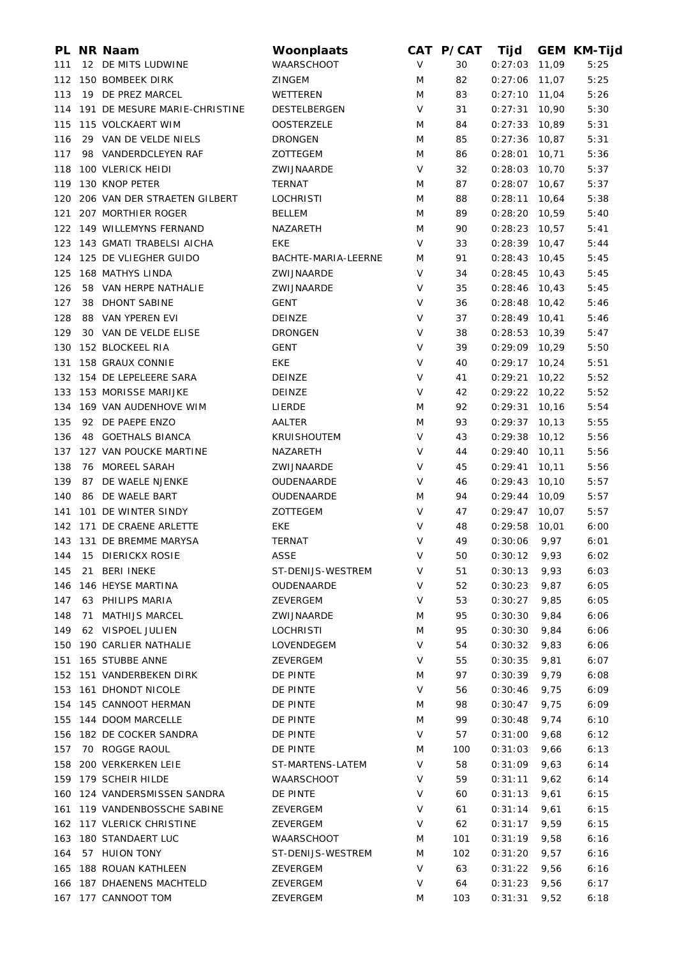|     |    | PL NR Naam                        | Woonplaats          |        | CAT P/CAT | Tijd            |        | <b>GEM KM-Tijd</b> |
|-----|----|-----------------------------------|---------------------|--------|-----------|-----------------|--------|--------------------|
| 111 |    | 12 DE MITS LUDWINE                | WAARSCHOOT          | $\vee$ | 30        | 0:27:03         | 11,09  | 5:25               |
|     |    | 112 150 BOMBEEK DIRK              | <b>ZINGEM</b>       | M      | 82        | 0:27:06         | 11,07  | 5:25               |
| 113 |    | 19 DE PREZ MARCEL                 | WETTEREN            | M      | 83        | $0:27:10$ 11,04 |        | 5:26               |
|     |    | 114 191 DE MESURE MARIE-CHRISTINE | DESTELBERGEN        | V      | 31        | 0:27:31         | 10,90  | 5:30               |
| 115 |    | 115 VOLCKAERT WIM                 | <b>OOSTERZELE</b>   | M      | 84        | 0:27:33         | 10,89  | 5:31               |
| 116 |    | 29 VAN DE VELDE NIELS             | <b>DRONGEN</b>      | M      | 85        | 0:27:36         | 10,87  | 5:31               |
| 117 |    | 98 VANDERDCLEYEN RAF              | ZOTTEGEM            | M      | 86        | 0:28:01         | 10,71  | 5:36               |
| 118 |    | 100 VLERICK HEIDI                 | ZWIJNAARDE          | V      | 32        | 0:28:03         | 10,70  | 5:37               |
| 119 |    | 130 KNOP PETER                    | TERNAT              | M      | 87        | 0:28:07         | 10,67  | 5:37               |
| 120 |    | 206 VAN DER STRAETEN GILBERT      | <b>LOCHRISTI</b>    | M      | 88        | 0:28:11         | 10,64  | 5:38               |
| 121 |    | 207 MORTHIER ROGER                | <b>BELLEM</b>       | M      | 89        | 0:28:20         | 10,59  | 5:40               |
|     |    | 122 149 WILLEMYNS FERNAND         | NAZARETH            | M      | 90        | 0:28:23         | 10,57  | 5:41               |
|     |    | 123 143 GMATI TRABELSI AICHA      | <b>EKE</b>          | V      | 33        | 0:28:39         | 10,47  | 5:44               |
|     |    | 124 125 DE VLIEGHER GUIDO         | BACHTE-MARIA-LEERNE | M      | 91        | 0:28:43         | 10,45  | 5:45               |
| 125 |    | 168 MATHYS LINDA                  | ZWIJNAARDE          | V      | 34        | 0:28:45         | 10,43  | 5:45               |
| 126 |    | 58 VAN HERPE NATHALIE             | ZWIJNAARDE          | V      | 35        | 0:28:46         | 10,43  | 5:45               |
| 127 |    | 38 DHONT SABINE                   | GENT                | V      | 36        | $0:28:48$ 10,42 |        | 5:46               |
| 128 |    | 88 VAN YPEREN EVI                 |                     | V      | 37        | 0:28:49         |        | 5:46               |
|     |    |                                   | DEINZE              | V      |           |                 | 10,41  |                    |
| 129 |    | 30 VAN DE VELDE ELISE             | <b>DRONGEN</b>      |        | 38        | 0:28:53         | 10,39  | 5:47               |
| 130 |    | 152 BLOCKEEL RIA                  | <b>GENT</b>         | V      | 39        | 0:29:09         | 10,29  | 5:50               |
| 131 |    | 158 GRAUX CONNIE                  | EKE                 | V      | 40        | 0:29:17         | 10,24  | 5:51               |
|     |    | 132 154 DE LEPELEERE SARA         | DEINZE              | V      | 41        | 0:29:21         | 10,22  | 5:52               |
|     |    | 133 153 MORISSE MARIJKE           | <b>DEINZE</b>       | V      | 42        | $0:29:22$ 10,22 |        | 5:52               |
|     |    | 134 169 VAN AUDENHOVE WIM         | LIERDE              | M      | 92        | 0:29:31         | 10, 16 | 5:54               |
| 135 |    | 92 DE PAEPE ENZO                  | AALTER              | M      | 93        | 0:29:37         | 10, 13 | 5:55               |
| 136 |    | 48 GOETHALS BIANCA                | <b>KRUISHOUTEM</b>  | V      | 43        | 0:29:38         | 10,12  | 5:56               |
| 137 |    | 127 VAN POUCKE MARTINE            | NAZARETH            | V      | 44        | 0:29:40         | 10, 11 | 5:56               |
| 138 |    | 76 MOREEL SARAH                   | ZWIJNAARDE          | V      | 45        | 0:29:41         | 10,11  | 5:56               |
| 139 | 87 | DE WAELE NJENKE                   | OUDENAARDE          | V      | 46        | 0:29:43         | 10, 10 | 5:57               |
| 140 |    | 86 DE WAELE BART                  | OUDENAARDE          | M      | 94        | 0:29:44         | 10,09  | 5:57               |
| 141 |    | 101 DE WINTER SINDY               | ZOTTEGEM            | V      | 47        | 0:29:47         | 10,07  | 5:57               |
|     |    | 142 171 DE CRAENE ARLETTE         | EKE                 | V      | 48        | 0:29:58         | 10,01  | 6:00               |
|     |    | 143 131 DE BREMME MARYSA          | <b>TERNAT</b>       | V      | 49        | 0:30:06         | 9,97   | 6:01               |
|     |    | 144 15 DIERICKX ROSIE             | ASSE                | V      | 50        | $0:30:12$ 9,93  |        | 6:02               |
| 145 | 21 | <b>BERI INEKE</b>                 | ST-DENIJS-WESTREM   | V      | 51        | 0:30:13         | 9,93   | 6:03               |
| 146 |    | 146 HEYSE MARTINA                 | OUDENAARDE          | V      | 52        | 0:30:23         | 9,87   | 6:05               |
| 147 |    | 63 PHILIPS MARIA                  | ZEVERGEM            | V      | 53        | 0:30:27         | 9,85   | 6:05               |
| 148 |    | 71 MATHIJS MARCEL                 | ZWIJNAARDE          | M      | 95        | 0:30:30         | 9,84   | 6:06               |
| 149 |    | 62 VISPOEL JULIEN                 | <b>LOCHRISTI</b>    | M      | 95        | 0:30:30         | 9,84   | 6:06               |
| 150 |    | 190 CARLIER NATHALIE              | LOVENDEGEM          | V      | 54        | 0:30:32         | 9,83   | 6:06               |
| 151 |    | 165 STUBBE ANNE                   | ZEVERGEM            | V      | 55        | 0:30:35         | 9,81   | 6:07               |
|     |    | 152 151 VANDERBEKEN DIRK          | DE PINTE            | M      | 97        | 0:30:39         | 9,79   | 6:08               |
| 153 |    | <b>161 DHONDT NICOLE</b>          | DE PINTE            | V      | 56        | 0:30:46         | 9,75   | 6:09               |
| 154 |    | 145 CANNOOT HERMAN                | DE PINTE            | M      | 98        | 0:30:47         | 9,75   | 6:09               |
|     |    | 155 144 DOOM MARCELLE             |                     |        |           |                 |        |                    |
|     |    |                                   | DE PINTE            | M      | 99        | 0:30:48         | 9,74   | 6:10               |
| 156 |    | 182 DE COCKER SANDRA              | DE PINTE            | V      | 57        | 0:31:00         | 9,68   | 6:12               |
| 157 |    | 70 ROGGE RAOUL                    | DE PINTE            | M      | 100       | 0:31:03         | 9,66   | 6:13               |
| 158 |    | 200 VERKERKEN LEIE                | ST-MARTENS-LATEM    | V      | 58        | 0:31:09         | 9,63   | 6:14               |
| 159 |    | 179 SCHEIR HILDE                  | WAARSCHOOT          | V      | 59        | 0:31:11         | 9,62   | 6:14               |
| 160 |    | 124 VANDERSMISSEN SANDRA          | DE PINTE            | V      | 60        | 0:31:13         | 9,61   | 6:15               |
| 161 |    | 119 VANDENBOSSCHE SABINE          | ZEVERGEM            | V      | 61        | 0:31:14         | 9,61   | 6:15               |
|     |    | 162 117 VLERICK CHRISTINE         | ZEVERGEM            | V      | 62        | 0:31:17         | 9,59   | 6:15               |
| 163 |    | 180 STANDAERT LUC                 | WAARSCHOOT          | M      | 101       | 0:31:19         | 9,58   | 6:16               |
| 164 |    | 57 HUION TONY                     | ST-DENIJS-WESTREM   | M      | 102       | 0:31:20         | 9,57   | 6:16               |
| 165 |    | 188 ROUAN KATHLEEN                | ZEVERGEM            | V      | 63        | 0:31:22         | 9,56   | 6:16               |
|     |    | 166 187 DHAENENS MACHTELD         | ZEVERGEM            | V      | 64        | 0:31:23         | 9,56   | 6:17               |
|     |    | 167 177 CANNOOT TOM               | ZEVERGEM            | M      | 103       | 0:31:31         | 9,52   | 6:18               |
|     |    |                                   |                     |        |           |                 |        |                    |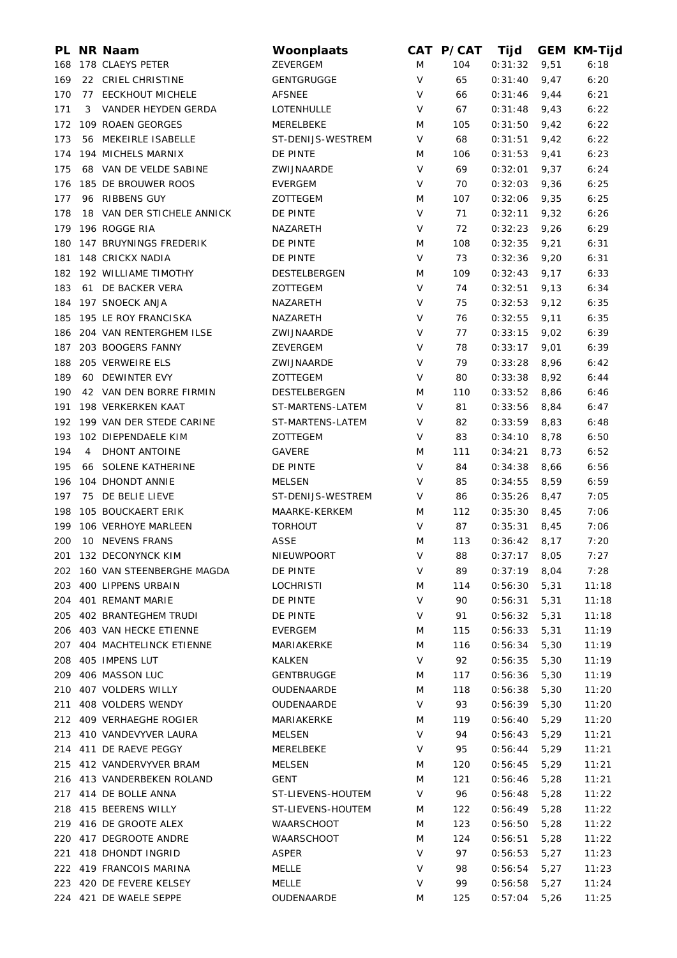|     |                | PL NR Naam                    | Woonplaats        |   | CAT P/CAT | Tijd           |      | <b>GEM KM-Tijd</b> |
|-----|----------------|-------------------------------|-------------------|---|-----------|----------------|------|--------------------|
| 168 |                | 178 CLAEYS PETER              | ZEVERGEM          | M | 104       | 0:31:32        | 9,51 | 6:18               |
| 169 |                | 22 CRIEL CHRISTINE            | <b>GENTGRUGGE</b> | V | 65        | 0:31:40        | 9,47 | 6:20               |
| 170 |                | 77 EECKHOUT MICHELE           | <b>AFSNEE</b>     | V | 66        | 0:31:46        | 9,44 | 6:21               |
| 171 | 3              | VANDER HEYDEN GERDA           | LOTENHULLE        | V | 67        | 0:31:48        | 9,43 | 6:22               |
| 172 |                | 109 ROAEN GEORGES             | MERELBEKE         | M | 105       | 0:31:50        | 9,42 | 6:22               |
| 173 |                | 56 MEKEIRLE ISABELLE          | ST-DENIJS-WESTREM | V | 68        | 0:31:51        | 9,42 | 6:22               |
| 174 |                | 194 MICHELS MARNIX            | DE PINTE          | M | 106       | 0:31:53        | 9,41 | 6:23               |
| 175 |                | 68 VAN DE VELDE SABINE        | ZWIJNAARDE        | V | 69        | 0:32:01        | 9,37 | 6:24               |
| 176 |                | 185 DE BROUWER ROOS           | <b>EVERGEM</b>    | V | 70        | 0:32:03        | 9,36 | 6:25               |
| 177 |                | 96 RIBBENS GUY                | ZOTTEGEM          | M | 107       | 0:32:06        | 9,35 | 6:25               |
| 178 |                | 18 VAN DER STICHELE ANNICK    | DE PINTE          | V | 71        | 0:32:11        | 9,32 | 6:26               |
| 179 |                | 196 ROGGE RIA                 | NAZARETH          | V | 72        | 0:32:23        | 9,26 | 6:29               |
| 180 |                | 147 BRUYNINGS FREDERIK        | DE PINTE          | M | 108       | 0:32:35        | 9,21 | 6:31               |
| 181 |                | 148 CRICKX NADIA              | DE PINTE          | V | 73        | 0:32:36        | 9,20 | 6:31               |
|     |                | 182 192 WILLIAME TIMOTHY      | DESTELBERGEN      | M | 109       | 0:32:43        | 9,17 | 6:33               |
| 183 |                | 61 DE BACKER VERA             | ZOTTEGEM          | V | 74        | 0:32:51        | 9,13 | 6:34               |
|     |                | 184 197 SNOECK ANJA           | NAZARETH          | V | 75        | 0:32:53        | 9,12 | 6:35               |
| 185 |                | 195 LE ROY FRANCISKA          | NAZARETH          | V | 76        | 0:32:55        | 9,11 | 6:35               |
|     |                | 186 204 VAN RENTERGHEM ILSE   | ZWIJNAARDE        | V | 77        | 0:33:15        | 9,02 | 6:39               |
| 187 |                | 203 BOOGERS FANNY             | ZEVERGEM          | V | 78        | 0:33:17        | 9,01 | 6:39               |
|     |                | 205 VERWEIRE ELS              |                   | V |           |                |      |                    |
| 188 |                |                               | ZWIJNAARDE        |   | 79        | 0:33:28        | 8,96 | 6:42               |
| 189 |                | 60 DEWINTER EVY               | ZOTTEGEM          | V | 80        | 0:33:38        | 8,92 | 6:44               |
| 190 |                | 42 VAN DEN BORRE FIRMIN       | DESTELBERGEN      | M | 110       | 0:33:52        | 8,86 | 6:46               |
| 191 |                | 198 VERKERKEN KAAT            | ST-MARTENS-LATEM  | V | 81        | 0:33:56        | 8,84 | 6:47               |
|     |                | 192 199 VAN DER STEDE CARINE  | ST-MARTENS-LATEM  | V | 82        | 0:33:59        | 8,83 | 6:48               |
| 193 |                | 102 DIEPENDAELE KIM           | ZOTTEGEM          | V | 83        | 0:34:10        | 8,78 | 6:50               |
| 194 | $\overline{4}$ | <b>DHONT ANTOINE</b>          | <b>GAVERE</b>     | M | 111       | 0:34:21        | 8,73 | 6:52               |
| 195 |                | 66 SOLENE KATHERINE           | DE PINTE          | V | 84        | 0:34:38        | 8,66 | 6:56               |
| 196 |                | 104 DHONDT ANNIE              | <b>MELSEN</b>     | V | 85        | 0:34:55        | 8,59 | 6:59               |
| 197 |                | 75 DE BELIE LIEVE             | ST-DENIJS-WESTREM | V | 86        | 0:35:26        | 8,47 | 7:05               |
| 198 |                | 105 BOUCKAERT ERIK            | MAARKE-KERKEM     | M | 112       | 0:35:30        | 8,45 | 7:06               |
| 199 |                | 106 VERHOYE MARLEEN           | <b>TORHOUT</b>    | V | 87        | 0:35:31        | 8,45 | 7:06               |
| 200 |                | 10 NEVENS FRANS               | <b>ASSE</b>       | M | 113       | 0:36:42        | 8,17 | 7:20               |
|     |                | 201 132 DECONYNCK KIM         | NIEUWPOORT        | V | 88        | $0:37:17$ 8,05 |      | 7:27               |
|     |                | 202 160 VAN STEENBERGHE MAGDA | DE PINTE          | V | 89        | 0:37:19        | 8,04 | 7:28               |
| 203 |                | 400 LIPPENS URBAIN            | <b>LOCHRISTI</b>  | M | 114       | 0:56:30        | 5,31 | 11:18              |
| 204 |                | 401 REMANT MARIE              | DE PINTE          | V | 90        | 0:56:31        | 5,31 | 11:18              |
| 205 |                | 402 BRANTEGHEM TRUDI          | DE PINTE          | V | 91        | 0:56:32        | 5,31 | 11:18              |
| 206 |                | 403 VAN HECKE ETIENNE         | <b>EVERGEM</b>    | M | 115       | 0:56:33        | 5,31 | 11:19              |
| 207 |                | 404 MACHTELINCK ETIENNE       | MARIAKERKE        | M | 116       | 0:56:34        | 5,30 | 11:19              |
| 208 |                | 405 IMPENS LUT                | KALKEN            | V | 92        | 0:56:35        | 5,30 | 11:19              |
| 209 |                | 406 MASSON LUC                | <b>GENTBRUGGE</b> | M | 117       | 0:56:36        | 5,30 | 11:19              |
| 210 |                | 407 VOLDERS WILLY             | OUDENAARDE        | M | 118       | 0:56:38        | 5,30 | 11:20              |
| 211 |                | 408 VOLDERS WENDY             | OUDENAARDE        | V | 93        | 0:56:39        | 5,30 | 11:20              |
|     |                | 212 409 VERHAEGHE ROGIER      | MARIAKERKE        | M | 119       | 0:56:40        | 5,29 | 11:20              |
|     |                | 213 410 VANDEVYVER LAURA      | <b>MELSEN</b>     | V | 94        | 0:56:43        | 5,29 | 11:21              |
|     |                | 214 411 DE RAEVE PEGGY        | MERELBEKE         | V | 95        | 0:56:44        | 5,29 | 11:21              |
|     |                | 215 412 VANDERVYVER BRAM      | MELSEN            | M | 120       | 0:56:45        | 5,29 | 11:21              |
|     |                | 216 413 VANDERBEKEN ROLAND    | <b>GENT</b>       | M | 121       | 0:56:46        | 5,28 | 11:21              |
|     |                | 217 414 DE BOLLE ANNA         | ST-LIEVENS-HOUTEM | V | 96        | 0:56:48        | 5,28 | 11:22              |
|     |                | 218 415 BEERENS WILLY         | ST-LIEVENS-HOUTEM | M | 122       | 0:56:49        | 5,28 | 11:22              |
|     |                | 219 416 DE GROOTE ALEX        | WAARSCHOOT        | M | 123       | 0:56:50        | 5,28 | 11:22              |
|     |                | 220 417 DEGROOTE ANDRE        | <b>WAARSCHOOT</b> | M | 124       | 0:56:51        | 5,28 | 11:22              |
| 221 |                | 418 DHONDT INGRID             | <b>ASPER</b>      | V | 97        | 0:56:53        | 5,27 | 11:23              |
|     |                | 222 419 FRANCOIS MARINA       | MELLE             | V | 98        | 0:56:54        | 5,27 | 11:23              |
|     |                |                               |                   |   |           |                |      |                    |
|     |                | 223 420 DE FEVERE KELSEY      | <b>MELLE</b>      | V | 99        | 0:56:58        | 5,27 | 11:24              |
|     |                | 224 421 DE WAELE SEPPE        | OUDENAARDE        | M | 125       | 0:57:04        | 5,26 | 11:25              |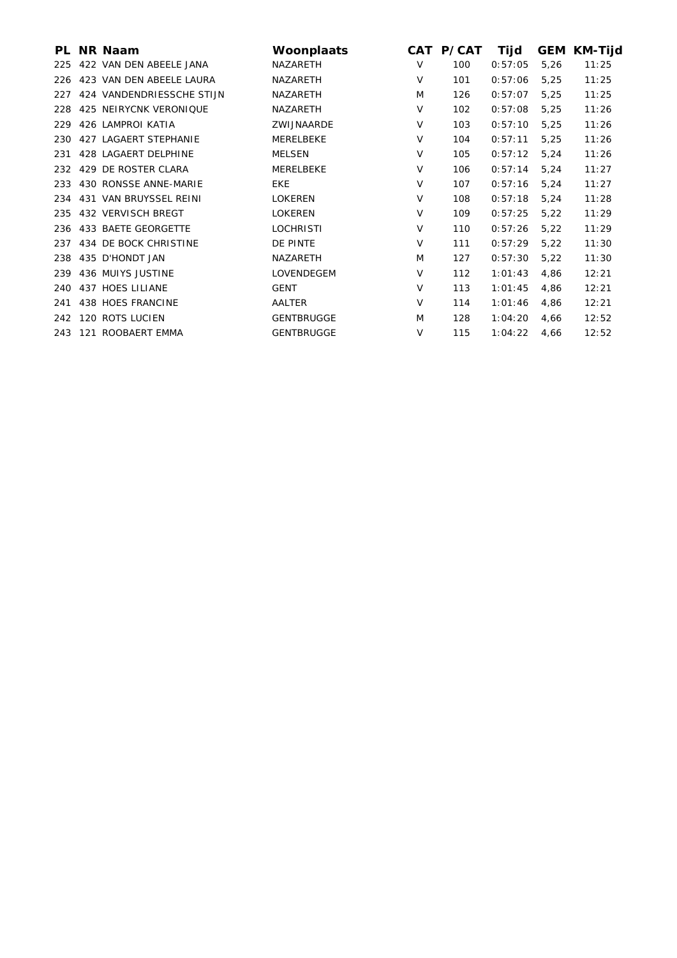| PL. | <b>NR Naam</b>            | Woonplaats        |        | CAT P/CAT | Tijd    | GEM  | <b>KM-Tijd</b> |
|-----|---------------------------|-------------------|--------|-----------|---------|------|----------------|
| 225 | 422 VAN DEN ABEELE JANA   | NAZARETH          | $\vee$ | 100       | 0:57:05 | 5,26 | 11:25          |
| 226 | 423 VAN DEN ABEELE LAURA  | NAZARETH          | V      | 101       | 0:57:06 | 5,25 | 11:25          |
| 227 | 424 VANDENDRIESSCHE STIJN | NAZARETH          | M      | 126       | 0:57:07 | 5,25 | 11:25          |
| 228 | 425 NEIRYCNK VERONIQUE    | NAZARETH          | V      | 102       | 0:57:08 | 5,25 | 11:26          |
| 229 | 426 LAMPROI KATIA         | ZWIJNAARDE        | $\vee$ | 103       | 0:57:10 | 5,25 | 11:26          |
| 230 | 427 LAGAERT STEPHANIE     | MERELBEKE         | $\vee$ | 104       | 0:57:11 | 5,25 | 11:26          |
| 231 | 428 LAGAERT DELPHINE      | <b>MELSEN</b>     | V      | 105       | 0:57:12 | 5,24 | 11:26          |
| 232 | 429 DE ROSTER CLARA       | MERELBEKE         | V      | 106       | 0:57:14 | 5,24 | 11:27          |
| 233 | 430 RONSSE ANNE-MARIE     | <b>EKE</b>        | $\vee$ | 107       | 0:57:16 | 5,24 | 11:27          |
| 234 | 431 VAN BRUYSSEL REINI    | LOKEREN           | V      | 108       | 0:57:18 | 5,24 | 11:28          |
| 235 | 432 VERVISCH BREGT        | LOKEREN           | V      | 109       | 0:57:25 | 5,22 | 11:29          |
| 236 | 433 BAETE GEORGETTE       | <b>LOCHRISTI</b>  | $\vee$ | 110       | 0:57:26 | 5,22 | 11:29          |
| 237 | 434 DE BOCK CHRISTINE     | DE PINTE          | $\vee$ | 111       | 0:57:29 | 5,22 | 11:30          |
| 238 | 435 D'HONDT JAN           | NAZARETH          | M      | 127       | 0:57:30 | 5,22 | 11:30          |
| 239 | 436 MUIYS JUSTINE         | LOVENDEGEM        | $\vee$ | 112       | 1:01:43 | 4,86 | 12:21          |
| 240 | 437 HOES LILIANE          | <b>GENT</b>       | V      | 113       | 1:01:45 | 4,86 | 12:21          |
| 241 | 438 HOES FRANCINE         | AALTER            | $\vee$ | 114       | 1:01:46 | 4,86 | 12:21          |
| 242 | 120 ROTS LUCIEN           | <b>GENTBRUGGE</b> | M      | 128       | 1:04:20 | 4,66 | 12:52          |
|     | 243 121 ROOBAERT EMMA     | <b>GENTBRUGGE</b> | V      | 115       | 1:04:22 | 4,66 | 12:52          |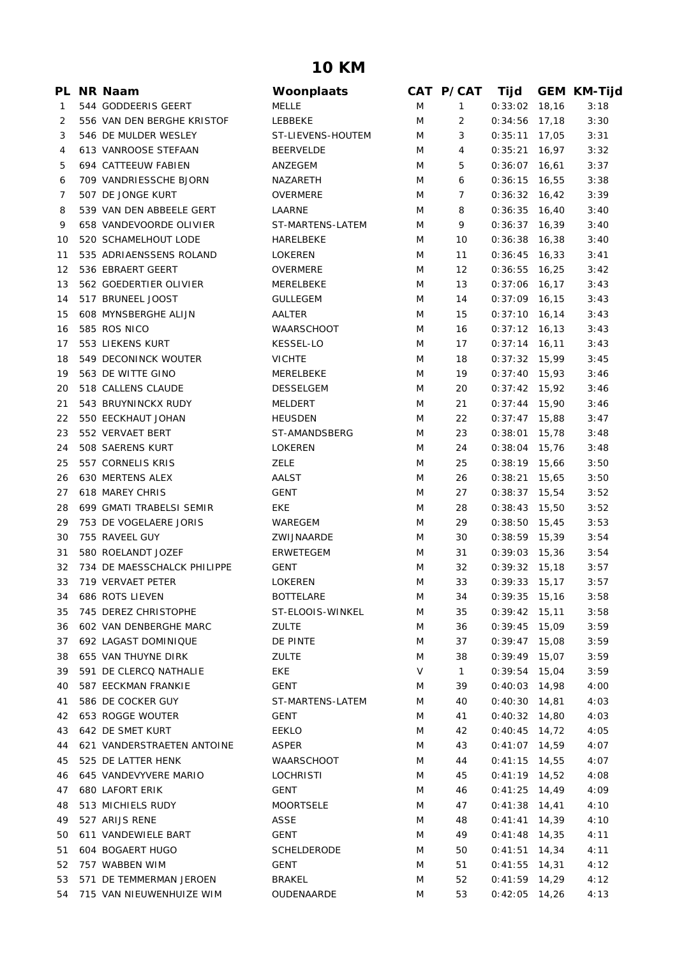## **10 KM**

|    | PL NR Naam                  | Woonplaats         |        | CAT P/CAT      | Tijd                       |       | <b>GEM KM-Tijd</b> |
|----|-----------------------------|--------------------|--------|----------------|----------------------------|-------|--------------------|
| 1  | 544 GODDEERIS GEERT         | <b>MELLE</b>       | M      | $\mathbf{1}$   | 0:33:02                    | 18,16 | 3:18               |
| 2  | 556 VAN DEN BERGHE KRISTOF  | LEBBEKE            | M      | 2              | 0:34:56                    | 17,18 | 3:30               |
| 3  | 546 DE MULDER WESLEY        | ST-LIEVENS-HOUTEM  | M      | 3              | $0:35:11$ 17,05            |       | 3:31               |
| 4  | 613 VANROOSE STEFAAN        | <b>BEERVELDE</b>   | M      | 4              | 0:35:21                    | 16,97 | 3:32               |
| 5  | 694 CATTEEUW FABIEN         | ANZEGEM            | M      | 5              | 0:36:07                    | 16,61 | 3:37               |
| 6  | 709 VANDRIESSCHE BJORN      | NAZARETH           | M      | 6              | $0:36:15$ 16,55            |       | 3:38               |
| 7  | 507 DE JONGE KURT           | <b>OVERMERE</b>    | M      | $\overline{7}$ | $0:36:32$ 16,42            |       | 3:39               |
| 8  | 539 VAN DEN ABBEELE GERT    | LAARNE             | M      | 8              | $0:36:35$ 16,40            |       | 3:40               |
| 9  | 658 VANDEVOORDE OLIVIER     | ST-MARTENS-LATEM   | M      | 9              | 0:36:37                    | 16,39 | 3:40               |
| 10 | 520 SCHAMELHOUT LODE        | HARELBEKE          | M      | 10             | $0:36:38$ 16,38            |       | 3:40               |
| 11 | 535 ADRIAENSSENS ROLAND     | <b>LOKEREN</b>     | M      | 11             | $0:36:45$ 16,33            |       | 3:41               |
| 12 | 536 EBRAERT GEERT           | OVERMERE           | M      | 12             | $0:36:55$ 16,25            |       | 3:42               |
| 13 | 562 GOEDERTIER OLIVIER      | MERELBEKE          | M      | 13             | $0:37:06$ 16,17            |       | 3:43               |
| 14 | 517 BRUNEEL JOOST           | <b>GULLEGEM</b>    | M      | 14             | $0:37:09$ 16,15            |       | 3:43               |
| 15 | 608 MYNSBERGHE ALIJN        | AALTER             | M      | 15             | $0:37:10$ 16,14            |       | 3:43               |
| 16 | 585 ROS NICO                | WAARSCHOOT         | M      | 16             | $0:37:12$ 16,13            |       | 3:43               |
| 17 | 553 LIEKENS KURT            | <b>KESSEL-LO</b>   | M      | 17             | $0:37:14$ 16,11            |       | 3:43               |
| 18 | 549 DECONINCK WOUTER        | <b>VICHTE</b>      | M      | 18             | $0:37:32$ 15,99            |       | 3:45               |
| 19 | 563 DE WITTE GINO           | MERELBEKE          | M      | 19             | $0:37:40$ 15,93            |       | 3:46               |
| 20 | 518 CALLENS CLAUDE          | <b>DESSELGEM</b>   | M      | 20             | $0:37:42$ 15,92            |       | 3:46               |
| 21 | 543 BRUYNINCKX RUDY         | <b>MELDERT</b>     | M      | 21             | 0:37:44                    | 15,90 | 3:46               |
| 22 | 550 EECKHAUT JOHAN          | <b>HEUSDEN</b>     | M      | 22             | $0:37:47$ 15,88            |       | 3:47               |
| 23 | 552 VERVAET BERT            | ST-AMANDSBERG      | M      | 23             | $0:38:01$ 15,78            |       | 3:48               |
| 24 | 508 SAERENS KURT            | <b>LOKEREN</b>     | M      | 24             | $0:38:04$ 15,76            |       | 3:48               |
| 25 | 557 CORNELIS KRIS           | ZELE               | M      | 25             | $0:38:19$ 15,66            |       | 3:50               |
| 26 | 630 MERTENS ALEX            | AALST              | M      | 26             | 0:38:21                    | 15,65 | 3:50               |
| 27 | 618 MAREY CHRIS             | <b>GENT</b>        | M      | 27             | $0:38:37$ 15,54            |       | 3:52               |
| 28 | 699 GMATI TRABELSI SEMIR    | <b>EKE</b>         | M      | 28             | $0:38:43$ 15,50            |       | 3:52               |
| 29 | 753 DE VOGELAERE JORIS      | WAREGEM            | M      | 29             | $0:38:50$ 15,45            |       | 3:53               |
| 30 | 755 RAVEEL GUY              | ZWIJNAARDE         | M      | 30             | $0:38:59$ 15,39            |       | 3:54               |
| 31 | 580 ROELANDT JOZEF          | ERWETEGEM          | M      | 31             | $0:39:03$ 15,36            |       | 3:54               |
| 32 | 734 DE MAESSCHALCK PHILIPPE | <b>GENT</b>        | M      | 32             | $0:39:32$ 15,18            |       | 3:57               |
| 33 | 719 VERVAET PETER           | LOKEREN            | M      | 33             | $0:39:33$ 15,17            |       | 3:57               |
|    | 34 686 ROTS LIEVEN          | <b>BOTTELARE</b>   | M      | 34             | $0:39:35$ 15,16            |       | 3:58               |
| 35 | 745 DEREZ CHRISTOPHE        | ST-ELOOIS-WINKEL   | M      | 35             | $0:39:42$ 15,11            |       | 3:58               |
| 36 | 602 VAN DENBERGHE MARC      | ZULTE              | M      | 36             | $0:39:45$ 15,09            |       | 3:59               |
|    | 692 LAGAST DOMINIQUE        | DE PINTE           |        |                |                            |       | 3:59               |
| 37 | 655 VAN THUYNE DIRK         | <b>ZULTE</b>       | M      | 37<br>38       | 0:39:47<br>$0:39:49$ 15,07 | 15,08 | 3:59               |
| 38 | 591 DE CLERCQ NATHALIE      |                    | M<br>V |                | $0:39:54$ 15,04            |       |                    |
| 39 |                             | EKE                |        | $\mathbf{1}$   |                            |       | 3:59               |
| 40 | 587 EECKMAN FRANKIE         | GENT               | M      | 39             | $0:40:03$ 14,98            |       | 4:00               |
| 41 | 586 DE COCKER GUY           | ST-MARTENS-LATEM   | M      | 40             | $0:40:30$ 14,81            |       | 4:03               |
| 42 | 653 ROGGE WOUTER            | GENT               | M      | 41             | $0:40:32$ 14,80            |       | 4:03               |
| 43 | 642 DE SMET KURT            | <b>EEKLO</b>       | M      | 42             | $0:40:45$ 14,72            |       | 4:05               |
| 44 | 621 VANDERSTRAETEN ANTOINE  | <b>ASPER</b>       | M      | 43             | $0:41:07$ 14,59            |       | 4:07               |
| 45 | 525 DE LATTER HENK          | <b>WAARSCHOOT</b>  | M      | 44             | $0:41:15$ 14,55            |       | 4:07               |
| 46 | 645 VANDEVYVERE MARIO       | LOCHRISTI          | M      | 45             | $0:41:19$ 14,52            |       | 4:08               |
| 47 | <b>680 LAFORT ERIK</b>      | GENT               | M      | 46             | $0:41:25$ 14,49            |       | 4:09               |
| 48 | 513 MICHIELS RUDY           | <b>MOORTSELE</b>   | M      | 47             | $0:41:38$ 14,41            |       | 4:10               |
| 49 | 527 ARIJS RENE              | ASSE               | M      | 48             | $0:41:41$ 14,39            |       | 4:10               |
| 50 | 611 VANDEWIELE BART         | GENT               | M      | 49             | $0:41:48$ 14,35            |       | 4:11               |
| 51 | 604 BOGAERT HUGO            | <b>SCHELDERODE</b> | M      | 50             | $0:41:51$ 14,34            |       | 4:11               |
| 52 | 757 WABBEN WIM              | GENT               | M      | 51             | $0:41:55$ 14,31            |       | 4:12               |
| 53 | 571 DE TEMMERMAN JEROEN     | <b>BRAKEL</b>      | M      | 52             | $0:41:59$ 14,29            |       | 4:12               |
| 54 | 715 VAN NIEUWENHUIZE WIM    | OUDENAARDE         | M      | 53             | $0:42:05$ 14,26            |       | 4:13               |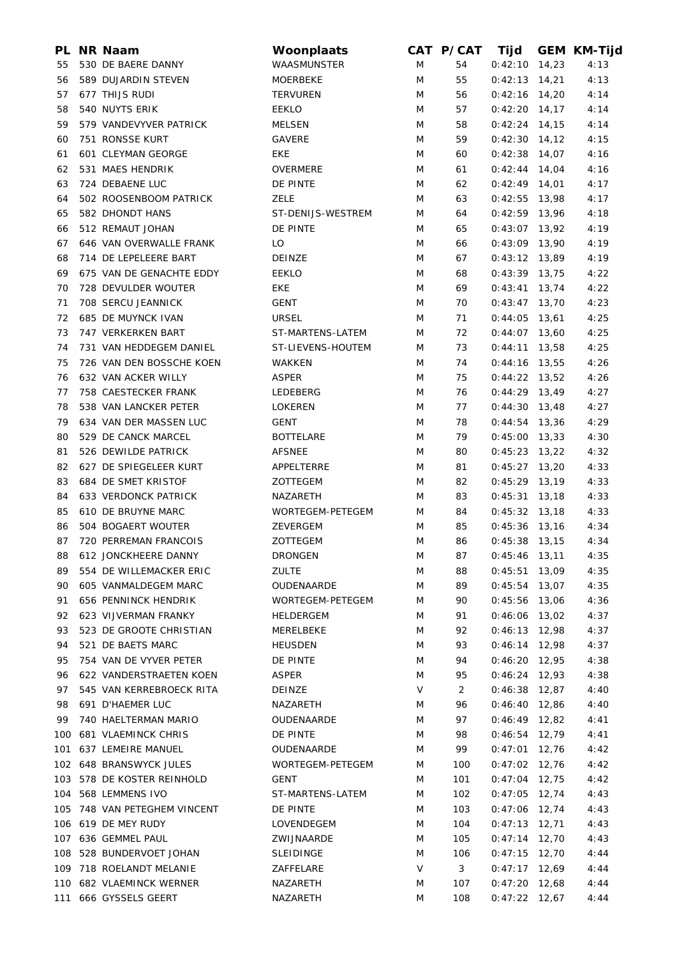|     | PL NR Naam                  | Woonplaats         |   | CAT P/CAT | Tijd            |       | <b>GEM KM-Tijd</b> |
|-----|-----------------------------|--------------------|---|-----------|-----------------|-------|--------------------|
| 55  | 530 DE BAERE DANNY          | <b>WAASMUNSTER</b> | M | 54        | $0:42:10$ 14,23 |       | 4:13               |
| 56  | 589 DUJARDIN STEVEN         | <b>MOERBEKE</b>    | M | 55        | $0:42:13$ 14,21 |       | 4:13               |
| 57  | 677 THIJS RUDI              | <b>TERVUREN</b>    | M | 56        | $0:42:16$ 14,20 |       | 4:14               |
| 58  | 540 NUYTS ERIK              | <b>EEKLO</b>       | M | 57        | $0:42:20$ 14,17 |       | 4:14               |
| 59  | 579 VANDEVYVER PATRICK      | MELSEN             | M | 58        | $0:42:24$ 14,15 |       | 4:14               |
| 60  | 751 RONSSE KURT             | <b>GAVERE</b>      | M | 59        | $0:42:30$ 14,12 |       | 4:15               |
| 61  | 601 CLEYMAN GEORGE          | <b>EKE</b>         | M | 60        | $0:42:38$ 14,07 |       | 4:16               |
| 62  | 531 MAES HENDRIK            | OVERMERE           | M | 61        | $0:42:44$ 14,04 |       | 4:16               |
| 63  | 724 DEBAENE LUC             | DE PINTE           | M | 62        | $0:42:49$ 14,01 |       | 4:17               |
| 64  | 502 ROOSENBOOM PATRICK      | <b>ZELE</b>        | M | 63        | $0:42:55$ 13,98 |       | 4:17               |
| 65  | 582 DHONDT HANS             | ST-DENIJS-WESTREM  | M | 64        | $0:42:59$ 13,96 |       | 4:18               |
| 66  | 512 REMAUT JOHAN            | DE PINTE           | M | 65        | $0:43:07$ 13,92 |       | 4:19               |
| 67  | 646 VAN OVERWALLE FRANK     | LO                 | M | 66        | $0:43:09$ 13,90 |       | 4:19               |
| 68  | 714 DE LEPELEERE BART       | <b>DEINZE</b>      | M | 67        | $0:43:12$ 13,89 |       | 4:19               |
| 69  | 675 VAN DE GENACHTE EDDY    | <b>EEKLO</b>       | M | 68        | $0:43:39$ 13,75 |       | 4:22               |
| 70  | 728 DEVULDER WOUTER         | <b>EKE</b>         | M | 69        | $0:43:41$ 13,74 |       | 4:22               |
| 71  | 708 SERCU JEANNICK          | <b>GENT</b>        | M | 70        | $0:43:47$ 13,70 |       | 4:23               |
| 72  | 685 DE MUYNCK IVAN          | <b>URSEL</b>       | M | 71        | 0:44:05         |       | 4:25               |
|     |                             | ST-MARTENS-LATEM   |   |           |                 | 13,61 |                    |
| 73  | 747 VERKERKEN BART          |                    | M | 72        | $0:44:07$ 13,60 |       | 4:25               |
| 74  | 731 VAN HEDDEGEM DANIEL     | ST-LIEVENS-HOUTEM  | M | 73        | $0:44:11$ 13,58 |       | 4:25               |
| 75  | 726 VAN DEN BOSSCHE KOEN    | WAKKEN             | M | 74        | $0:44:16$ 13,55 |       | 4:26               |
| 76  | 632 VAN ACKER WILLY         | <b>ASPER</b>       | M | 75        | $0:44:22$ 13,52 |       | 4:26               |
| 77  | 758 CAESTECKER FRANK        | LEDEBERG           | M | 76        | $0:44:29$ 13,49 |       | 4:27               |
| 78  | 538 VAN LANCKER PETER       | <b>LOKEREN</b>     | M | 77        | $0:44:30$ 13,48 |       | 4:27               |
| 79  | 634 VAN DER MASSEN LUC      | <b>GENT</b>        | M | 78        | $0:44:54$ 13,36 |       | 4:29               |
| 80  | 529 DE CANCK MARCEL         | <b>BOTTELARE</b>   | M | 79        | $0:45:00$ 13,33 |       | 4:30               |
| 81  | 526 DEWILDE PATRICK         | <b>AFSNEE</b>      | M | 80        | $0:45:23$ 13,22 |       | 4:32               |
| 82  | 627 DE SPIEGELEER KURT      | APPELTERRE         | M | 81        | $0:45:27$ 13,20 |       | 4:33               |
| 83  | 684 DE SMET KRISTOF         | ZOTTEGEM           | M | 82        | $0:45:29$ 13,19 |       | 4:33               |
| 84  | <b>633 VERDONCK PATRICK</b> | NAZARETH           | M | 83        | $0:45:31$ 13,18 |       | 4:33               |
| 85  | 610 DE BRUYNE MARC          | WORTEGEM-PETEGEM   | M | 84        | $0:45:32$ 13,18 |       | 4:33               |
| 86  | 504 BOGAERT WOUTER          | ZEVERGEM           | M | 85        | $0:45:36$ 13,16 |       | 4:34               |
| 87  | 720 PERREMAN FRANCOIS       | ZOTTEGEM           | M | 86        | $0:45:38$ 13,15 |       | 4:34               |
|     | 88 612 JONCKHEERE DANNY     | <b>DRONGEN</b>     | M | 87        | $0:45:46$ 13,11 |       | 4:35               |
| 89  | 554 DE WILLEMACKER ERIC     | <b>ZULTE</b>       | M | 88        | 0:45:51         | 13,09 | 4:35               |
| 90  | 605 VANMALDEGEM MARC        | OUDENAARDE         | M | 89        | 0:45:54         | 13,07 | 4:35               |
| 91  | 656 PENNINCK HENDRIK        | WORTEGEM-PETEGEM   | M | 90        | $0:45:56$ 13,06 |       | 4:36               |
| 92  | 623 VIJVERMAN FRANKY        | HELDERGEM          | M | 91        | $0:46:06$ 13,02 |       | 4:37               |
| 93  | 523 DE GROOTE CHRISTIAN     | MERELBEKE          | M | 92        | $0:46:13$ 12,98 |       | 4:37               |
| 94  | 521 DE BAETS MARC           | <b>HEUSDEN</b>     | M | 93        | $0:46:14$ 12,98 |       | 4:37               |
| 95  | 754 VAN DE VYVER PETER      | DE PINTE           | M | 94        | $0:46:20$ 12,95 |       | 4:38               |
| 96  | 622 VANDERSTRAETEN KOEN     | <b>ASPER</b>       | M | 95        | $0:46:24$ 12,93 |       | 4:38               |
| 97  | 545 VAN KERREBROECK RITA    | DEINZE             | V | 2         | $0:46:38$ 12,87 |       | 4:40               |
| 98  | 691 D'HAEMER LUC            | NAZARETH           | M | 96        | $0:46:40$ 12,86 |       | 4:40               |
| 99  | 740 HAELTERMAN MARIO        | OUDENAARDE         | M | 97        | $0:46:49$ 12,82 |       | 4:41               |
|     |                             |                    |   |           |                 |       |                    |
| 100 | <b>681 VLAEMINCK CHRIS</b>  | DE PINTE           | M | 98        | $0:46:54$ 12,79 |       | 4:41               |
| 101 | 637 LEMEIRE MANUEL          | OUDENAARDE         | M | 99        | $0:47:01$ 12,76 |       | 4:42               |
|     | 102 648 BRANSWYCK JULES     | WORTEGEM-PETEGEM   | M | 100       | $0:47:02$ 12,76 |       | 4:42               |
| 103 | 578 DE KOSTER REINHOLD      | GENT               | M | 101       | $0:47:04$ 12,75 |       | 4:42               |
| 104 | 568 LEMMENS IVO             | ST-MARTENS-LATEM   | M | 102       | $0:47:05$ 12,74 |       | 4:43               |
| 105 | 748 VAN PETEGHEM VINCENT    | DE PINTE           | M | 103       | $0:47:06$ 12,74 |       | 4:43               |
|     | 106 619 DE MEY RUDY         | LOVENDEGEM         | M | 104       | $0:47:13$ 12,71 |       | 4:43               |
|     | 107 636 GEMMEL PAUL         | ZWIJNAARDE         | M | 105       | $0:47:14$ 12,70 |       | 4:43               |
| 108 | 528 BUNDERVOET JOHAN        | SLEIDINGE          | M | 106       | $0:47:15$ 12,70 |       | 4:44               |
| 109 | 718 ROELANDT MELANIE        | ZAFFELARE          | V | 3         | $0:47:17$ 12,69 |       | 4:44               |
|     | 110 682 VLAEMINCK WERNER    | NAZARETH           | M | 107       | $0:47:20$ 12,68 |       | 4:44               |
| 111 | 666 GYSSELS GEERT           | NAZARETH           | M | 108       | $0:47:22$ 12,67 |       | 4:44               |
|     |                             |                    |   |           |                 |       |                    |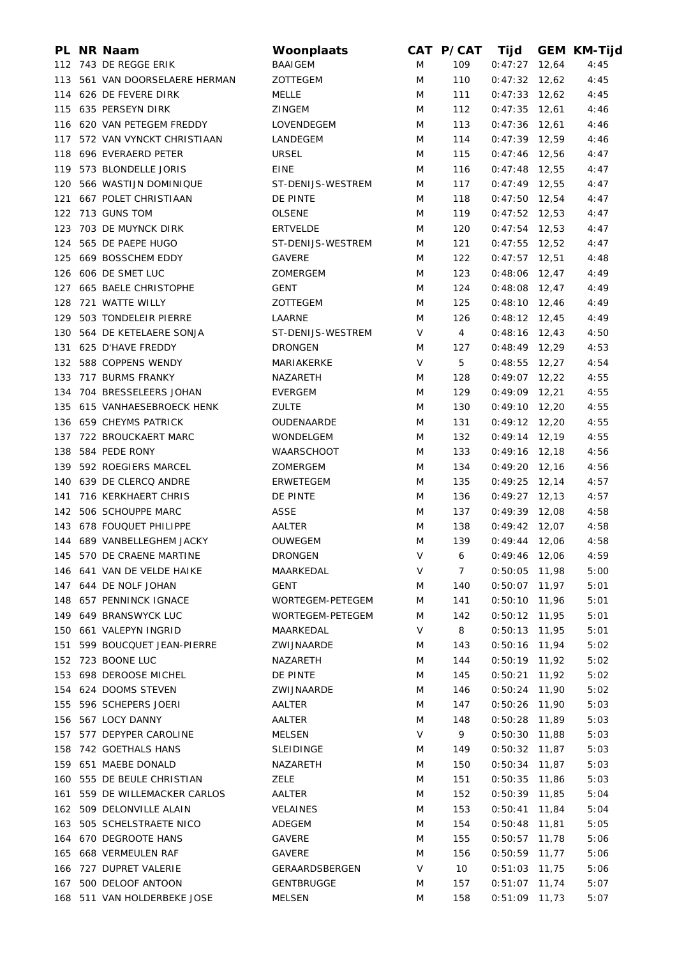|     | PL NR Naam                                          | Woonplaats               |   | CAT P/CAT | Tijd            |       | <b>GEM KM-Tijd</b> |
|-----|-----------------------------------------------------|--------------------------|---|-----------|-----------------|-------|--------------------|
|     | 112 743 DE REGGE ERIK                               | <b>BAAIGEM</b>           | M | 109       | $0:47:27$ 12,64 |       | 4:45               |
|     | 113 561 VAN DOORSELAERE HERMAN                      | ZOTTEGEM                 | M | 110       | $0:47:32$ 12,62 |       | 4:45               |
|     | 114 626 DE FEVERE DIRK                              | MELLE                    | M | 111       | $0:47:33$ 12,62 |       | 4:45               |
|     | 115 635 PERSEYN DIRK                                | <b>ZINGEM</b>            | M | 112       | $0:47:35$ 12,61 |       | 4:46               |
|     | 116 620 VAN PETEGEM FREDDY                          | LOVENDEGEM               | M | 113       | $0:47:36$ 12,61 |       | 4:46               |
|     | 117 572 VAN VYNCKT CHRISTIAAN                       | LANDEGEM                 | M | 114       | $0:47:39$ 12,59 |       | 4:46               |
|     | 118 696 EVERAERD PETER                              | <b>URSEL</b>             | M | 115       | $0:47:46$ 12,56 |       | 4:47               |
|     | 119 573 BLONDELLE JORIS                             | EINE                     | M | 116       | $0:47:48$ 12,55 |       | 4:47               |
|     | 120 566 WASTIJN DOMINIQUE                           | ST-DENIJS-WESTREM        | M | 117       | $0:47:49$ 12,55 |       | 4:47               |
|     | 121 667 POLET CHRISTIAAN                            | DE PINTE                 | M | 118       | $0:47:50$ 12,54 |       | 4:47               |
|     | 122 713 GUNS TOM                                    | <b>OLSENE</b>            | M | 119       | $0:47:52$ 12,53 |       | 4:47               |
|     | 123 703 DE MUYNCK DIRK                              | <b>ERTVELDE</b>          | M | 120       | $0:47:54$ 12,53 |       | 4:47               |
|     | 124 565 DE PAEPE HUGO                               | ST-DENIJS-WESTREM        | M | 121       | $0:47:55$ 12,52 |       | 4:47               |
|     | 125 669 BOSSCHEM EDDY                               | <b>GAVERE</b>            | M | 122       | $0:47:57$ 12,51 |       | 4:48               |
|     | 126 606 DE SMET LUC                                 | ZOMERGEM                 | M | 123       | $0:48:06$ 12,47 |       | 4:49               |
|     | 127 665 BAELE CHRISTOPHE                            | <b>GENT</b>              | M | 124       | $0:48:08$ 12,47 |       | 4:49               |
|     | 128 721 WATTE WILLY                                 | ZOTTEGEM                 | M | 125       | $0:48:10$ 12,46 |       | 4:49               |
| 129 | 503 TONDELEIR PIERRE                                | LAARNE                   | M | 126       | $0:48:12$ 12,45 |       | 4:49               |
|     | 130 564 DE KETELAERE SONJA                          | ST-DENIJS-WESTREM        | V | 4         | $0:48:16$ 12,43 |       | 4:50               |
| 131 | 625 D'HAVE FREDDY                                   | <b>DRONGEN</b>           | M | 127       | $0:48:49$ 12,29 |       | 4:53               |
| 132 | 588 COPPENS WENDY                                   | <b>MARIAKERKE</b>        | V | 5         | $0:48:55$ 12,27 |       | 4:54               |
| 133 | 717 BURMS FRANKY                                    | NAZARETH                 | M | 128       | $0:49:07$ 12,22 |       | 4:55               |
|     | 134 704 BRESSELEERS JOHAN                           | <b>EVERGEM</b>           | M | 129       | $0:49:09$ 12,21 |       | 4:55               |
|     | 135 615 VANHAESEBROECK HENK                         | <b>ZULTE</b>             | M | 130       | $0:49:10$ 12,20 |       | 4:55               |
|     | 136 659 CHEYMS PATRICK                              | OUDENAARDE               | M | 131       | $0:49:12$ 12,20 |       | 4:55               |
|     | 137 722 BROUCKAERT MARC                             | WONDELGEM                | M | 132       | $0:49:14$ 12,19 |       | 4:55               |
| 138 | 584 PEDE RONY                                       | <b>WAARSCHOOT</b>        | M | 133       | $0:49:16$ 12,18 |       | 4:56               |
|     | 139 592 ROEGIERS MARCEL                             | ZOMERGEM                 | M | 134       | $0:49:20$ 12,16 |       | 4:56               |
|     | 140 639 DE CLERCQ ANDRE                             | ERWETEGEM                | M | 135       | $0:49:25$ 12,14 |       | 4:57               |
| 141 | 716 KERKHAERT CHRIS                                 | DE PINTE                 | M | 136       | $0:49:27$ 12,13 |       | 4:57               |
| 142 | 506 SCHOUPPE MARC                                   | ASSE                     | M | 137       | $0:49:39$ 12,08 |       | 4:58               |
|     | 143 678 FOUQUET PHILIPPE                            | AALTER                   | M | 138       | $0:49:42$ 12,07 |       | 4:58               |
|     | 144 689 VANBELLEGHEM JACKY                          | OUWEGEM                  | M | 139       | $0:49:44$ 12,06 |       | 4:58               |
|     | 145 570 DE CRAENE MARTINE                           | <b>DRONGEN</b>           | V | 6         | 0:49:46 12,06   |       | 4:59               |
|     |                                                     |                          | V | 7         |                 |       |                    |
|     | 146 641 VAN DE VELDE HAIKE<br>147 644 DE NOLF JOHAN | MAARKEDAL<br><b>GENT</b> |   |           | $0:50:05$ 11,98 |       | 5:00<br>5:01       |
|     |                                                     |                          | M | 140       | $0:50:07$ 11,97 |       |                    |
| 148 | 657 PENNINCK IGNACE                                 | WORTEGEM-PETEGEM         | M | 141       | $0:50:10$ 11,96 |       | 5:01               |
| 149 | 649 BRANSWYCK LUC                                   | <b>WORTEGEM-PETEGEM</b>  | M | 142       | $0:50:12$ 11,95 |       | 5:01               |
|     | 150 661 VALEPYN INGRID                              | MAARKEDAL                | V | 8         | 0:50:13         | 11,95 | 5:01               |
| 151 | 599 BOUCQUET JEAN-PIERRE                            | ZWIJNAARDE               | M | 143       | 0:50:16         | 11,94 | 5:02               |
|     | 152 723 BOONE LUC                                   | NAZARETH                 | M | 144       | $0:50:19$ 11,92 |       | 5:02               |
|     | 153 698 DEROOSE MICHEL                              | DE PINTE                 | M | 145       | 0:50:21         | 11,92 | 5:02               |
|     | 154 624 DOOMS STEVEN                                | ZWIJNAARDE               | M | 146       | $0:50:24$ 11,90 |       | 5:02               |
| 155 | 596 SCHEPERS JOERI                                  | AALTER                   | M | 147       | $0:50:26$ 11,90 |       | 5:03               |
|     | 156 567 LOCY DANNY                                  | AALTER                   | M | 148       | $0:50:28$ 11,89 |       | 5:03               |
| 157 | 577 DEPYPER CAROLINE                                | <b>MELSEN</b>            | V | 9         | $0:50:30$ 11,88 |       | 5:03               |
|     | 158 742 GOETHALS HANS                               | <b>SLEIDINGE</b>         | M | 149       | $0:50:32$ 11,87 |       | 5:03               |
|     | 159 651 MAEBE DONALD                                | NAZARETH                 | M | 150       | 0:50:34         | 11,87 | 5:03               |
| 160 | 555 DE BEULE CHRISTIAN                              | <b>ZELE</b>              | M | 151       | 0:50:35         | 11,86 | 5:03               |
| 161 | 559 DE WILLEMACKER CARLOS                           | AALTER                   | M | 152       | $0:50:39$ 11,85 |       | 5:04               |
|     | 162 509 DELONVILLE ALAIN                            | <b>VELAINES</b>          | M | 153       | 0:50:41         | 11,84 | 5:04               |
| 163 | 505 SCHELSTRAETE NICO                               | ADEGEM                   | M | 154       | 0:50:48         | 11,81 | 5:05               |
|     | 164 670 DEGROOTE HANS                               | GAVERE                   | M | 155       | $0:50:57$ 11,78 |       | 5:06               |
| 165 | 668 VERMEULEN RAF                                   | <b>GAVERE</b>            | M | 156       | $0:50:59$ 11,77 |       | 5:06               |
| 166 | 727 DUPRET VALERIE                                  | GERAARDSBERGEN           | V | 10        | $0:51:03$ 11,75 |       | 5:06               |
| 167 | 500 DELOOF ANTOON                                   | GENTBRUGGE               | M | 157       | $0:51:07$ 11,74 |       | 5:07               |
|     | 168 511 VAN HOLDERBEKE JOSE                         | MELSEN                   | M | 158       | $0:51:09$ 11,73 |       | 5:07               |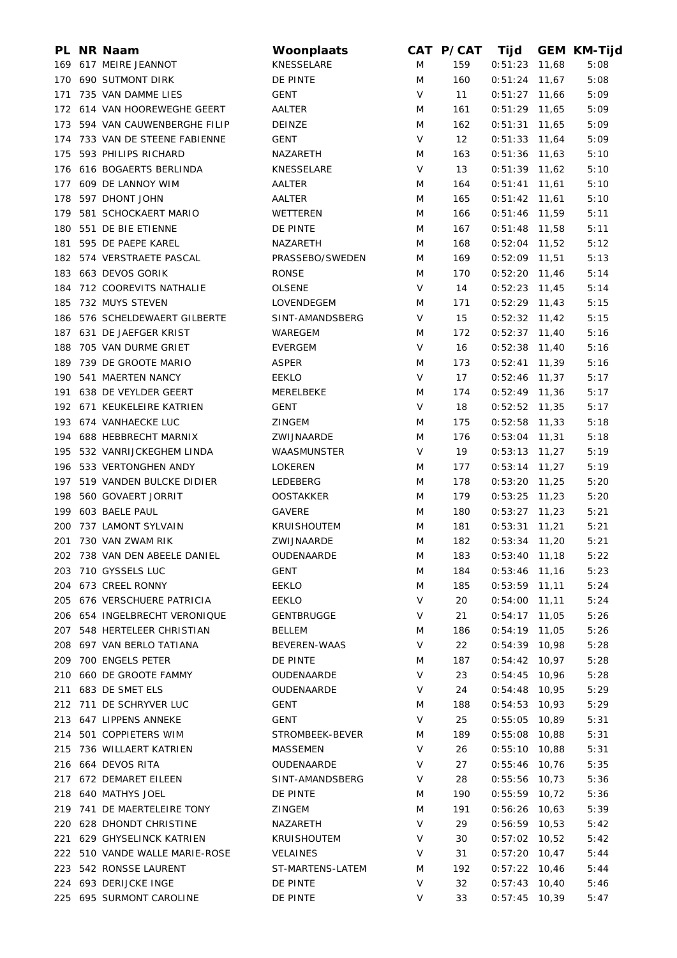|     | PL NR Naam                     | Woonplaats         |        | CAT P/CAT | Tijd            |       | <b>GEM KM-Tijd</b> |
|-----|--------------------------------|--------------------|--------|-----------|-----------------|-------|--------------------|
|     | 169 617 MEIRE JEANNOT          | KNESSELARE         | M      | 159       | 0:51:23         | 11,68 | 5:08               |
|     | 170 690 SUTMONT DIRK           | DE PINTE           | M      | 160       | 0:51:24         | 11,67 | 5:08               |
|     | 171 735 VAN DAMME LIES         | <b>GENT</b>        | $\vee$ | 11        | $0:51:27$ 11,66 |       | 5:09               |
|     | 172 614 VAN HOOREWEGHE GEERT   | AALTER             | M      | 161       | $0:51:29$ 11,65 |       | 5:09               |
|     | 173 594 VAN CAUWENBERGHE FILIP | <b>DEINZE</b>      | M      | 162       | $0:51:31$ 11,65 |       | 5:09               |
|     | 174 733 VAN DE STEENE FABIENNE | <b>GENT</b>        | V      | 12        | $0:51:33$ 11,64 |       | 5:09               |
| 175 | 593 PHILIPS RICHARD            | NAZARETH           | M      | 163       | $0:51:36$ 11,63 |       | 5:10               |
|     | 176 616 BOGAERTS BERLINDA      | KNESSELARE         | V      | 13        | $0:51:39$ 11,62 |       | 5:10               |
|     | 177 609 DE LANNOY WIM          | AALTER             | M      | 164       | 0:51:41         | 11,61 | 5:10               |
| 178 | 597 DHONT JOHN                 | AALTER             | M      | 165       | $0:51:42$ 11,61 |       | 5:10               |
| 179 | 581 SCHOCKAERT MARIO           | WETTEREN           | M      | 166       | $0:51:46$ 11,59 |       | 5:11               |
|     | 180 551 DE BIE ETIENNE         | DE PINTE           | M      | 167       | $0:51:48$ 11,58 |       | 5:11               |
|     | 181 595 DE PAEPE KAREL         | NAZARETH           | M      | 168       | $0:52:04$ 11,52 |       | 5:12               |
|     | 182 574 VERSTRAETE PASCAL      | PRASSEBO/SWEDEN    | M      | 169       | $0:52:09$ 11,51 |       | 5:13               |
|     | 183 663 DEVOS GORIK            | <b>RONSE</b>       | M      | 170       | $0:52:20$ 11,46 |       | 5:14               |
| 184 | 712 COOREVITS NATHALIE         | <b>OLSENE</b>      | V      | 14        | $0:52:23$ 11,45 |       | 5:14               |
| 185 | 732 MUYS STEVEN                | LOVENDEGEM         | M      | 171       | $0:52:29$ 11,43 |       | 5:15               |
|     | 186 576 SCHELDEWAERT GILBERTE  | SINT-AMANDSBERG    | V      | 15        | $0:52:32$ 11,42 |       |                    |
|     |                                |                    |        |           |                 |       | 5:15               |
|     | 187 631 DE JAEFGER KRIST       | WAREGEM            | M      | 172       | $0:52:37$ 11,40 |       | 5:16               |
| 188 | 705 VAN DURME GRIET            | EVERGEM            | V      | 16        | $0:52:38$ 11,40 |       | 5:16               |
|     | 189 739 DE GROOTE MARIO        | ASPER              | M      | 173       | 0:52:41         | 11,39 | 5:16               |
|     | 190 541 MAERTEN NANCY          | <b>EEKLO</b>       | V      | 17        | $0:52:46$ 11,37 |       | 5:17               |
|     | 191 638 DE VEYLDER GEERT       | MERELBEKE          | M      | 174       | $0:52:49$ 11,36 |       | 5:17               |
|     | 192 671 KEUKELEIRE KATRIEN     | <b>GENT</b>        | $\vee$ | 18        | $0:52:52$ 11,35 |       | 5:17               |
|     | 193 674 VANHAECKE LUC          | <b>ZINGEM</b>      | M      | 175       | $0:52:58$ 11,33 |       | 5:18               |
|     | 194 688 HEBBRECHT MARNIX       | ZWIJNAARDE         | M      | 176       | $0:53:04$ 11,31 |       | 5:18               |
| 195 | 532 VANRIJCKEGHEM LINDA        | WAASMUNSTER        | V      | 19        | $0:53:13$ 11,27 |       | 5:19               |
|     | 196 533 VERTONGHEN ANDY        | LOKEREN            | M      | 177       | $0:53:14$ 11,27 |       | 5:19               |
|     | 197 519 VANDEN BULCKE DIDIER   | LEDEBERG           | M      | 178       | $0:53:20$ 11,25 |       | 5:20               |
| 198 | 560 GOVAERT JORRIT             | <b>OOSTAKKER</b>   | M      | 179       | $0:53:25$ 11,23 |       | 5:20               |
| 199 | 603 BAELE PAUL                 | <b>GAVERE</b>      | M      | 180       | $0:53:27$ 11,23 |       | 5:21               |
| 200 | 737 LAMONT SYLVAIN             | <b>KRUISHOUTEM</b> | M      | 181       | 0:53:31         | 11,21 | 5:21               |
|     | 201 730 VAN ZWAM RIK           | ZWIJNAARDE         | M      | 182       | $0:53:34$ 11,20 |       | 5:21               |
|     | 202 738 VAN DEN ABEELE DANIEL  | OUDENAARDE         | M      | 183       | $0:53:40$ 11,18 |       | 5:22               |
|     | 203 710 GYSSELS LUC            | GENT               | M      | 184       | $0:53:46$ 11,16 |       | 5:23               |
|     | 204 673 CREEL RONNY            | <b>EEKLO</b>       | M      | 185       | $0:53:59$ 11,11 |       | 5:24               |
|     | 205 676 VERSCHUERE PATRICIA    | <b>EEKLO</b>       | V      | 20        | $0:54:00$ 11,11 |       | 5:24               |
|     | 206 654 INGELBRECHT VERONIQUE  | <b>GENTBRUGGE</b>  | V      | 21        | $0:54:17$ 11,05 |       | 5:26               |
|     | 207 548 HERTELEER CHRISTIAN    | BELLEM             | M      | 186       | $0:54:19$ 11,05 |       | 5:26               |
|     | 208 697 VAN BERLO TATIANA      | BEVEREN-WAAS       | V      | 22        | $0:54:39$ 10,98 |       | 5:28               |
|     | 209 700 ENGELS PETER           | DE PINTE           | M      | 187       | $0:54:42$ 10,97 |       | 5:28               |
|     | 210 660 DE GROOTE FAMMY        | OUDENAARDE         | V      | 23        | $0:54:45$ 10,96 |       | 5:28               |
|     | 211 683 DE SMET ELS            | OUDENAARDE         | V      | 24        | $0:54:48$ 10,95 |       | 5:29               |
|     | 212 711 DE SCHRYVER LUC        | GENT               | M      | 188       | $0:54:53$ 10,93 |       | 5:29               |
|     | 213 647 LIPPENS ANNEKE         | GENT               | V      | 25        | $0:55:05$ 10,89 |       | 5:31               |
|     | 214 501 COPPIETERS WIM         |                    |        | 189       |                 |       | 5:31               |
|     |                                | STROMBEEK-BEVER    | M      |           | $0:55:08$ 10,88 |       |                    |
|     | 215 736 WILLAERT KATRIEN       | MASSEMEN           | V      | 26        | $0:55:10$ 10,88 |       | 5:31               |
|     | 216 664 DEVOS RITA             | OUDENAARDE         | V      | 27        | $0:55:46$ 10,76 |       | 5:35               |
|     | 217 672 DEMARET EILEEN         | SINT-AMANDSBERG    | V      | 28        | $0:55:56$ 10,73 |       | 5:36               |
|     | 218 640 MATHYS JOEL            | DE PINTE           | M      | 190       | $0:55:59$ 10,72 |       | 5:36               |
|     | 219 741 DE MAERTELEIRE TONY    | ZINGEM             | M      | 191       | $0:56:26$ 10,63 |       | 5:39               |
|     | 220 628 DHONDT CHRISTINE       | NAZARETH           | V      | 29        | $0:56:59$ 10,53 |       | 5:42               |
|     | 221 629 GHYSELINCK KATRIEN     | KRUISHOUTEM        | V      | 30        | $0:57:02$ 10,52 |       | 5:42               |
|     | 222 510 VANDE WALLE MARIE-ROSE | <b>VELAINES</b>    | V      | 31        | $0:57:20$ 10,47 |       | 5:44               |
|     | 223 542 RONSSE LAURENT         | ST-MARTENS-LATEM   | M      | 192       | $0:57:22$ 10,46 |       | 5:44               |
|     | 224 693 DERIJCKE INGE          | DE PINTE           | V      | 32        | $0:57:43$ 10,40 |       | 5:46               |
|     | 225 695 SURMONT CAROLINE       | DE PINTE           | V      | 33        | $0:57:45$ 10,39 |       | 5:47               |